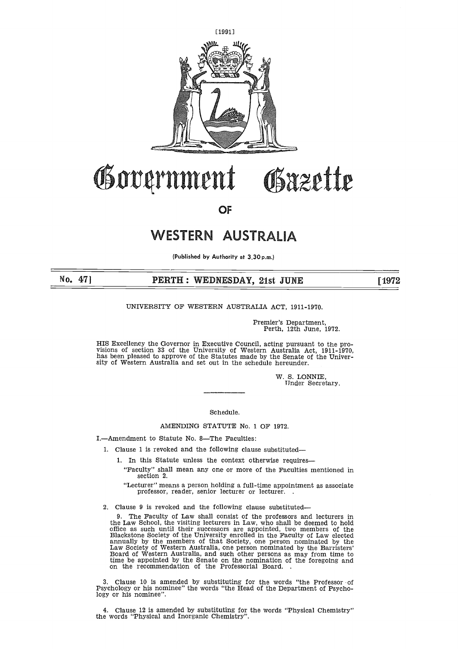

## Government Gazette  $\frac{1}{\sqrt{1-\frac{1}{2}}}$ **PERTH : WEDNESDAY, 21st JUNE<br>
OF<br>
WESTERN AUSTRALIA<br>
PERTH : WEDNESDAY, 21st JUNE<br>
PERTH : WEDNESDAY, 21st JUNE<br>
PERTH : WEDNESDAY, 21st JUNE<br>
PERTH : MEDNESDAY, 21st JUNE<br>
PERTH : NERN AUSTRALIA ACT, 1911-1970.**

**OF**

### WESTERN AUSTRALIA

**(Published by Authority at 3.30 p.m.)**

**No. 471**

### UNIVERSITY OF WESTERN AUSTRALIA ACT, 1911-1970.

Premier's Department, Perth, 12th June, 1972.

HIS Excellency the Governor in Executive Council, acting pursuant to the pro-visions of section 33 of the University of Western Australia Act, 1911-1970, has been pleased to approve of the Statutes made by the Senate of the University of Western Australia and set out in the schedule hereunder.

> W. S. LONNIE, Tinder Secretary.

Schedule.

### AMENDING STATUTE No. 1 OF 1972.

I.—Amendment to Statute No. 8—The Faculties:

- 1. Clause 1 is revoked and the following clause substituted-
	- 1. In this Statute unless the context otherwise requires
	- "Faculty" shall mean any one or more of the Faculties mentioned in section 2.

"Lecturer" means a person holding a full-time appointment as associate professor, reader, senior lecturer or lecturer.

2. Clause 9 is revoked and the following clause substituted-

9. The Faculty of Law shall consist of the professors and lecturers in the Law School, the visiting lecturers in Law, who shall be deemed to hold<br>office as such until their successors are appointed, two members of the<br>Blackstone Society of the University enrolled in the Faculty of Law elected Law Society of Western Australia, one person nominated by the Barristers' Board of Western Australia, and such other persons as may from time to time be appointed by the Senate on the nomination of the foregoing and on the recommendation of the Professorial Board.

3. Clause 10 is amended by substituting for the words "the Professor of Psychology or his nominee" the words "the Head of the Department of Psychology or his nominee".

4. Clause 12 is amended by substituting for the words "Physical Chemistry" the words "Physical and Inorganic Chemistry".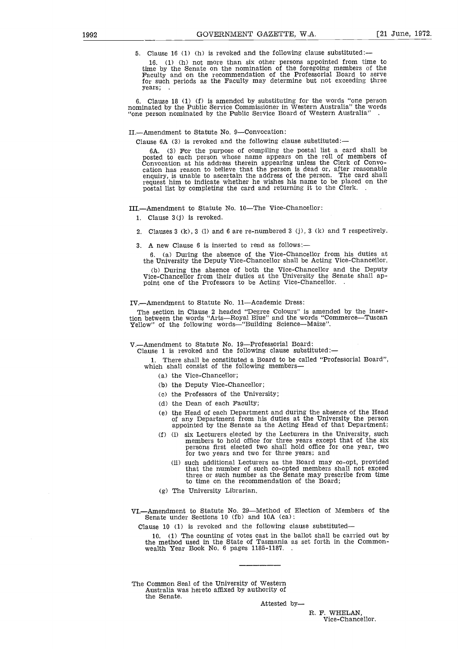5. Clause 16 (1) (h) is revoked and the following clause substituted:-

1992<br>
GOVERNMENT GAZETTE, W.A. [21 June, 1972.<br>
5. Clause 16 (1) (h) is revoked and the following clause substituted:—<br>
16. (1) (h) not more than six other persons appointed from time to<br>
time by the Senate on the nominati 16. (1) (h) not more than six other persons appointed from time to time by the Senate on the nomination of the foregoing members of the Faculty and on the recommendation of the Professorial Board to serve for such periods as the Faculty may determine but not exceeding three years; .

> 6. Clause 18 (1) (f) is amended by substituting for the words "one person nominated by the Public Service Commissioner in Western Australia" the words "one person nominated by the Public Service Board of Western Australia"

II.—Amendment to Statute No. 9—Convocation:

Clause  $6A(3)$  is revoked and the following clause substituted:

6A. (3) For the purpose of compiling the postal list a card shall be posted to each person whose name appears on the roll of members of Convocation at his address therein appearing unless the Clerk of Convocation has reason to believe that the person is dead or, after reasonable enquiry, is unable to ascertain the address of the person. The card shall request him to indicate whether he wishes his name to be placed on the postal list by completing the card and returning it to the Clerk.

III.—Amendment to Statute No. 10—The Vice-Chancellor:

1. Clause 3(j) is revoked.

- 2. Clauses 3 (k), 3 (1) and 6 are re-numbered 3 (j), 3 (k) and 7 respectively.
- 3. A new Clause 6 is inserted to read as follows:-

6. (a) During the absence of the Vice-Chancellor from his duties at the University the Deputy Vice-Chancellor shall be Acting Vice-Chancellor.

(b) During the absence of both the Vice-Chancellor and the Deputy Vice-Chancellor from their duties at the University the Senate shall appoint one of the Professors to be Acting Vice-Chancellor. .

IV.—Amendment to Statute No. 11—Academic Dress:

The section in Clause 2 headed "Degree Colours" is amended by the insertion between the words "Arts—Royal Blue" and the words "Commerce—Tuscan Yellow" of the following words—"Building Science—Maize".

V.—Amendment to Statute No. 19—Professorial Board:

Clause 1 is revoked and the following clause substituted:-

1. There shall be constituted a Board to be called "Professorial Board", which shall consist of the following members

- (a) the Vice-Chancellor;
- (b) the Deputy Vice-Chancellor;
- (c) the Professors of the University;
- (d) the Dean of each Faculty;
- (e) the Head of each Department and during the absence of the Head of any Department from his duties at the University the person appointed by the Senate as the Acting Head of that Department;
- (f) (i) six Lecturers elected by the Lecturers in the University, such members to hold office for three years except that of the six persons first elected two shall hold office for one year, two for two years and two for three years; and
	- (ii) such additional Lecturers as the Board may co-opt, provided that the number of such co-opted members shall not exceed three or such number as the Senate may prescribe from time to time on the recommendation of the Board;
- (g) The University Librarian.

VI.—Amendment to Statute No. 29—Method of Election of Members of the Senate under Sections 10 (fb) and 10A (ca):

Clause 10 (1) is revoked and the following clause substituted-

10. (1) The counting of votes cast in the ballot shall be carried out by the method used in the State of Tasmania as set forth in the Commonwealth Year Book No. 6 pages 1185-1187. .

The Common Seal of the University of Western Australia was hereto affixed by authority of the Senate.

Attested by

R. F. WHELAN, Vice-Chancellor.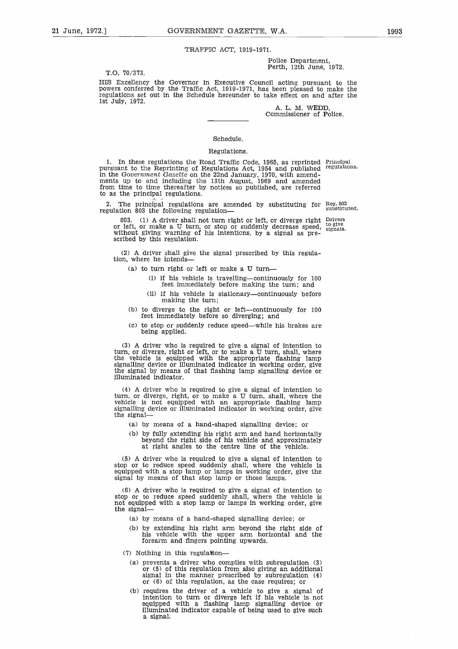### TRAFFIC ACT, 1919-1971.

T.O. 70/373.

21 June, 1972.] GOVERNMENT GAZETTE, W.A. 1993<br>TRAFFIC ACT, 1919-1971. Police Department, Perth, 12th June, 1972. Police Department, Perth, 12th June, 1972.

> HIS Excellency the Governor in Executive Council acting pursuant to the powers conferred by the Traffic Act, 1919-1971, has been pleased to make the regulations set out in the Schedule hereunder to take effect on and after the 1st July, 1972.

A. L. M. WEDD, Commissioner of Police.

### Schedule.

### Regulations.

1. In these regulations the Road Traffic Code, 1965, as reprinted Principal pursuant to the Reprinting of Regulations Act, 1954 and published regulations. in the *Government Gazette* on the 22nd January, 1970, with amendments up to and including the 13th August, 1969 and amended from time to time thereafter by notices so published, are referred to as the principal regulations.

2. The principal regulations are amended by substituting for Reg. 803<br>gulation 803 the following regulation. regulation 803 the following regulation-

803. (1) A driver shall not turn right or left, or diverge right Drivers or left, or make a U turn, or stop or suddenly decrease speed, without giving warning of his intentions, by a signal as prescribed by this regulation. to give signals.

(2) A driver shall give the signal prescribed by this regulation, where he intends

- (a) to turn right or left or make a U turn-
	- (i) if his vehicle is travelling—continuously for 100 feet immediately before making the turn; and
	- (ii) if his vehicle is stationary—continuously before making the turn;
- (b) to diverge to the right or left—continuously for 100 feet immediately before so diverging; and
- (c) to stop or suddenly reduce speed—while his brakes are being applied.

(3) A driver who is required to give a signal of intention to turn, or diverge, right or left, or to make a U turn, shall, where the vehicle is equipped with the appropriate flashing lamp signalling device or illuminated indicator in working order, give the signal by means of that flashing lamp signalling device or illuminated indicator.

(4) A driver who is required to give a signal of intention to turn, or diverge, right, or to make a U turn, shall, where the vehicle is not equipped with an appropriate flashing lamp signalling device or illuminated indicator in working order, give the signal

- (a) by means of a hand-shaped signalling device; or
- (b) by fully extending his right arm and hand horizontally beyond the right side of his vehicle and approximately at right angles to the centre line of the vehicle.

(5) A driver who is required to give a signal of intention to stop or to reduce speed suddenly shall, where the vehicle is equipped with a stop lamp or lamps in working order, give the signal by means of that stop lamp or those lamps.

(6) A driver who is required to give a signal of intention to stop or to reduce speed suddenly shall, where the vehicle is not equipped with a stop lamp or lamps in working order, give the signal-

- (a) by means of a hand-shaped signalling device; or
- (b) by extending his right arm beyond the right side of his vehicle with the upper arm horizontal and the forearm and fingers pointing upwards.

(7) Nothing in this regulation

- (a) prevents a driver who complies with subregulation (3) or (5) of this regulation from also giving an additional signal in the manner prescribed by subregulation (4) or (6) of this regulation, as the case requires; or
- (b) requires the driver of a vehicle to give a signal of intention to turn or diverge left if his vehicle is not equipped with a flashing lamp signalling device or illuminated indicator capable of being used to give such a signal.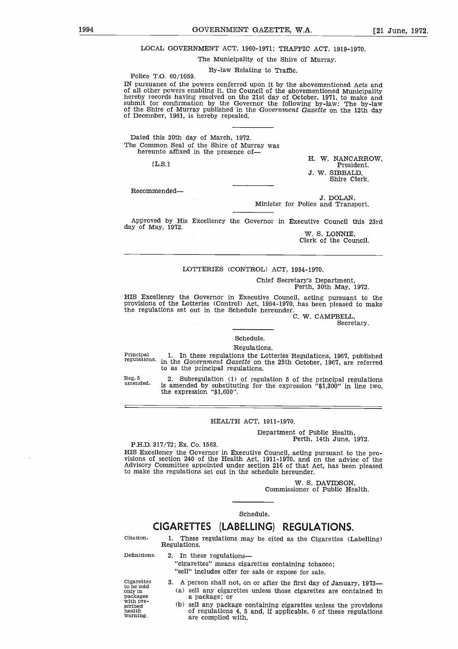# 1994 GOVERNMENT GAZETTE, W.A. [21 June, 1972.<br>
LOCAL GOVERNMENT ACT, 1960-1971; TRAFFIC ACT, 1919-1970.<br>
The Municipality of the Shire of Murray. LOCAL GOVERNMENT ACT, 1960-1971; TRAFFIC ACT, 1919-1970.

The Municipality of the Shire of Murray.

By-law Relating to Traffic.

IN pursuance of the powers conferred upon it by the abovementioned Acts and of all other powers enabling it, the Council of the abovementioned Municipality hereby records having resolved on the 21st day of October, 1971, to make and submit for confirmation by the Governor the following by-law: The by-law of the Shire of Murray published in the *Government Gazette* on the 12th day of December, 1961, is hereby repealed. Example of Multiplanty of the Silie of Multiplanty.<br>
By-law Relating to Traffic.<br>
of the powers conferred upon it by the abovementioned Acts and<br>
wers enabling it, the Council of the abovementioned Municipality<br>
is having

Dated this 20th day of March, 1972. The Common Seal of the Shire of Murray was hereunto affixed in the presence of-

[L.S.l

Police T.O. 60/1059.

President. J. W. SIBBALD, Shire Clerk.

Recommended

J. DOLAN, Minister for Police and Transport.

Approved by His Excellency the Governor in Executive Council this 23rd day of May, 1972.

> W. S. LONNIE, Clerk of the Council.

### LOTTERIES (CONTROL) ACT, 1954-1970.

Chief Secretary's Department, Perth, 30th May, 1972.

HIS Excellency the Governor in Executive Council, acting pursuant to the provisions of the Lotteries (Control) Act, 1954-1970, has been pleased to make the regulations set out in the Schedule hereunder.

C. W. CAMPBELL,

Secretary.

### Schedule.

Regulations.

Principal regulations. 1. In these regulations the Lotteries Regulations, 1967, published in the *Government Gazette* on the 25th October, 1967, are referred to as the principal regulations.

Reg. 5 amended.

2. Subregulation (1) of regulation 5 of the principal regulations is amended by substituting for the expression "\$1,300" in line two, the expression "\$1,600". Regulations.<br>
Explaisions the Lotteries Regulations, 1967, publist<br> *nt Gazette* on the 25th October, 1967, are referent<br>
al regulations.<br>
Department of the principal regulations.<br>
1,600".<br> **EALTH ACT, 1911-1970.**<br>
Departm

### HEALTH ACT, 1911-1970.

Department of Public Health,

P.H.D. 317/72; Ex. Co. 1563.

HIS Excellency the Governor in Executive Council, acting pursuant to the provisions of section 240 of the Health Act, 1911-1970, and on the advice of the Advisory Committee appointed under section 216 of that Act, has been pleased to make the regulations set out in the schedule hereunder. HIS Exc<br>visions<br>Advisory<br>Advisory<br>Citation.<br>Definition

W. S. DAVIDSON, Commissioner of Public Health.

### Schedule.

### **CIGARETTES (LABELLING) REGULATIONS.**

1. These regulations may be cited as the Cigarettes (Labelling) Regulations.

Station.<br>
CIGARETTES (LABE<br>
Citation.<br>
1. These regulations m<br>
Regulations.<br>
2. In these regulations<br>
"cigarettes" means cignes is "sell" includes offer fo "cigarettes" means cigarettes containing tobacco; "sell" includes offer for sale or expose for sale.

to be sold only in Citation.<br>
Definitions<br>
Cigarettes<br>
to be sold<br>
pre-<br>
pre-<br>
with pre-

- 3. A person shall not, on or after the first day of January, 1973-(a) sell any cigarettes unless those cigarettes are contained in a package; or Citation. 1. These regulations may be cited as the Cigarettes (Labelling)<br>
Regulations.<br>
2. In these regulations—<br>
"cigarettes" means cigarettes containing tobacco;<br>
"sell" includes offer for sale or expose for sale.<br>
Cig
	- (b) sell any package containing cigarettes unless the provisions of regulations 4, 5 and, if applicable, 6 of these regulations are complied with.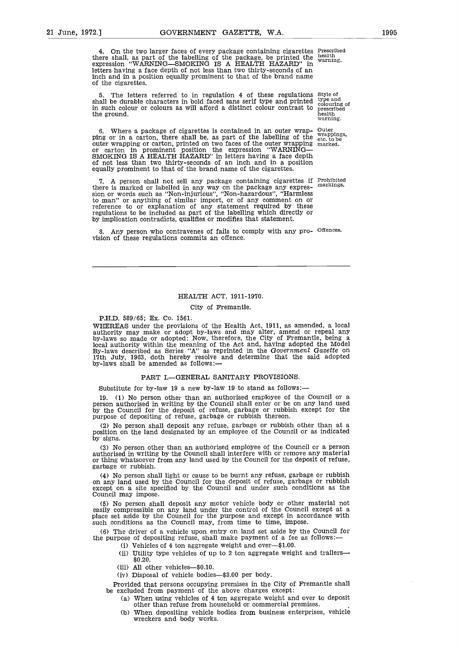21 June, 1972.] GOVERNMENT GAZETTE, W.A. 1995<br>
4. On the two larger faces of every package containing cigarettes Frescribed<br>
there shall, as part of the labelling of the package, be printed the health<br>
expression "WARNING— 4. On the two larger faces of every package containing cigarettes Prescribed there shall, as part of the labelling of the package, be printed the expression "WARNING—SMOKING IS A HEALTH HAZARD" in letters having a face depth of not less than two thirty-seconds of an inch and in a position equally prominent to that of the brand name of the cigarettes. health warning.

> 5. The letters referred to in regulation 4 of these regulations Style of shall be durable characters in bold faced sans serif type and printed in such colour or colours as will afford a distinct colour contrast to the ground. warning.

6. Where a package of cigarettes is contained in an outer wrap-ping or in a carton, there shall be, as part of the labelling of the outer wrapping or carton, printed on two faces of the outer wrapping or carton in prominent position the expression "WARNING— SMOKING IS A HEALTH HAZARD" in letters having a face depth of not less than two thirty-seconds of an inch and in a position equally prominent to that of the brand name of the cigarettes.

7. A person shall not sell any package containing cigarettes if there is marked or labelled in any way on the package any expression or words such as "Non-injurious", "Non-hazardous", "Harmless to man" or anything of similar import, or of any comment on or reference to or explanation of any statement required by these regulations to be included as part of the labelling which directly or by implication contradicts, qualifies or modifies that statement.

Any person who contravenes of fails to comply with any pro- Offences. vision of these regulations commits an offence.

### HEALTH ACT, 1911-1970.

### City of Fremantle.

### P.H.D. 589/65; Ex. Co. 1561.

WHEREAS under the provisions of the Health Act, 1911, as amended, a local authority may make or adopt by-laws and may alter, amend or repeal any by-laws so made or adopted: Now, therefore, the City of Fremantle, being a local authority within the meaning of the Act and, having adopted the Model By-laws described as Series "A" as reprinted in the *Government Gazette* on 17th July, 1963, doth hereby resolve and determine that the said adopted by-laws shall be amended as follows:-

### PART I.—GENERAL SANITARY PROVISIONS.

Substitute for by-law 19 a new by-law 19 to stand as follows:-

19. (1) No person other than an authorised employee of the Council or a person authorised in writing by the Council shall enter or be on any land used by the Council for the deposit of refuse, garbage or rubbish except for the purpose of depositing of refuse, garbage or rubbish thereon.

(2) No person shall deposit any refuse, garbage or rubbish other than at a position on the land designated by an employee of the Council or as indicated by signs.

(3) No person other than an authorised employee of the Council or a person authorised in writing by the Council shall interfere with or remove any material or thing whatsoever from any land used by the Council for the deposit of refuse, garbage or rubbish.

(4) No person shall light or cause to be burnt any refuse, garbage or rubbish on any land used by the Council for the deposit of refuse, garbage or rubbish except on a site specified by the Council and under such conditions as the Council may impose.

(5) No person shall deposit any motor vehicle body or other material not easily compressible on any land under the control of the Council except at a place set aside by the Council for the purpose and except in accordance with such conditions as the Council may, from time to time, impose.

(6) The driver of a vehicle upon entry on land set aside by the Council for the purpose of depositing refuse, shall make payment of a fee as follows:-

- (i) Vehicles of 4 ton aggregate weight and over—\$1.00.
- (ii) Utility type vehicles of up to 2 ton aggregate weight and trailers \$0.20.
- (iii) All other vehicles—\$0.10.
- (iv) Disposal of vehicle bodies—\$3.00 per body.

Provided that persons occupying premises in the City of Fremantle shall be excluded from payment of the above charges except:

- (a) When using vehicles of 4 ton aggregate weight and over to deposit other than refuse from household or commercial premises.
- (b) When depositing vehicle bodies from business enterprises, vehicle wreckers and body works.

type and colouring of prescribed health

**Outer** wrappings, etc. to be marked.

Prohibited markings.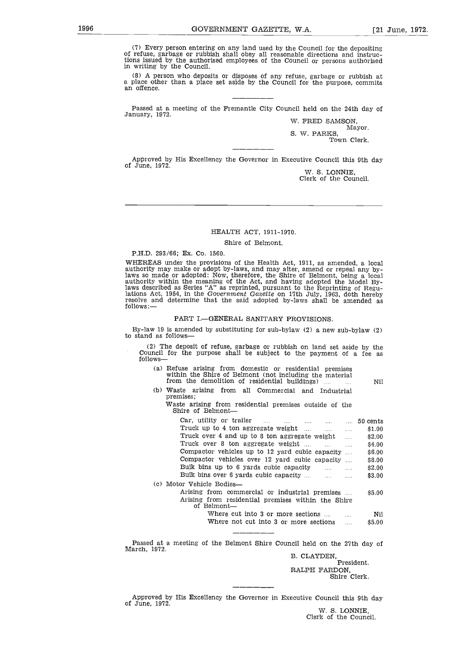1996<br>
GOVERNMENT GAZETTE, W.A. [21 June, 1972.<br>
(7) Every person entering on any land used by the Council for the depositing<br>
of refuse, garbage or rubbish shall obey all reasonable directions and instruc-<br>
in writing by t (7) Every person entering on any land used by the Council for the depositing of refuse, garbage or rubbish shall obey all reasonable directions and instructions issued by the authorised employees of the Council or persons authorised in writing by the Council.

> (8) A person who deposits or disposes of any refuse, garbage or rubbish at a place other than a place set aside by the Council for the purpose, commits an offence.

> Passed at a meeting of the Fremantle City Council held on the 24th day of January, 1972.

W. FRED SAMSON, Mayor. S. W. PARKS, Town Clerk.

Approved by His Excellency the Governor in Executive Council this 9th day of June, 1972.

W. S. LONNIE, Clerk of the Council.

### HEALTH ACT, 1911-1970.

### Shire of Belmont.

### P.H.D. 293/66; Ex. Co. 1560.

WHEREAS under the provisions of the Health Act, 1911, as amended, a local authority may make or adopt by-laws, and may alter, amend or repeal any by-laws so made or adopted: Now, therefore, the Shire of Belmont, being a local<br>authority within the meaning of the Act, and having adopted the Model laws described as Series "A" as reprinted, pursuant to the Reprinting of Regu-lations Act, 1954, in the *Government Gazette* on 17th July, 1963, doth hereby resolve and determine that the said adopted by-laws shall be amended as follows: from the demolition of residential purisms.<br>
The demonstrate of the demonstrated and adopted by-laws shall be and<br>
determine that the said adopted by-laws shall be amediated<br>
FART I.—GENERAL SANITARY PROVISIONS.<br>
is amende

### PART I.—GENERAL SANITARY PROVISIONS.

By-law 19 is amended by substituting for sub-bylaw (2) a new sub-bylaw (2) to stand as follows

| (2) The deposit of refuse, garbage or rubbish on land set aside by the |  |  |  |  |  |  |  |
|------------------------------------------------------------------------|--|--|--|--|--|--|--|
| Council for the purpose shall be subject to the payment of a fee as    |  |  |  |  |  |  |  |
| follows—                                                               |  |  |  |  |  |  |  |

- (a) Refuse arising from domestic or residential premises within the Shire of Belmont (not including the material<br>from the demolition of residential buildings)
- Nil (b) Waste arising from all Commercial and Industrial premises;

| v 19 is amended by substituting for sub-bylaw (2) a new sub-bylaw (2)<br>. as follows—                                                                                      |  |
|-----------------------------------------------------------------------------------------------------------------------------------------------------------------------------|--|
| ) The deposit of refuse, garbage or rubbish on land set aside by the<br>ncil for the purpose shall be subject to the payment of a fee as<br>ws—                             |  |
| (a) Refuse arising from domestic or residential premises<br>within the Shire of Belmont (not including the material<br>from the demolition of residential buildings)<br>Nil |  |
| (b) Waste arising from all Commercial and Industrial<br>premises:<br>Waste arising from residential premises outside of the<br>Shire of Belmont—                            |  |
| Car, utility or trailer<br>50 cents                                                                                                                                         |  |
| Truck up to 4 ton aggregate weight<br>\$1.00<br>$\ldots$ . The set of $\mathbb{R}^n$<br>$\cdots$                                                                            |  |
| Truck over 4 and up to 8 ton aggregate weight<br>\$2.00<br>$\mathbf{r}$                                                                                                     |  |
| Truck over 8 ton aggregate weight<br>\$4.00<br>$\cdots$<br>$\cdots$                                                                                                         |  |
| Compactor vehicles up to 12 yard cubic capacity<br>\$6.00                                                                                                                   |  |
| Compactor vehicles over 12 yard cubic capacity<br>\$8.00                                                                                                                    |  |
| Bulk bins up to 6 yards cubic capacity<br>\$2.00<br>and the<br>$\cdots$                                                                                                     |  |
| \$3.00                                                                                                                                                                      |  |
| (c) Motor Vehicle Bodies-                                                                                                                                                   |  |
| Arising from commercial or industrial premises<br>\$5.00<br>Arising from residential premises within the Shire<br>of Belmont—                                               |  |
| Where cut into 3 or more sections<br>Nil<br>$\cdots$                                                                                                                        |  |
| Where not cut into 3 or more sections<br>\$5.00<br>$\ddotsc$                                                                                                                |  |
| I at a meeting of the Belmont Shire Council held on the 27th day of                                                                                                         |  |
| י המחי                                                                                                                                                                      |  |

Passed at a meeting of the Belmont Shire Council held on the 27th day of March, 1972.

B. CLAYDEN, President. RALPH FARDON, Shire Clerk.

Approved by His Excellency the Governor in Executive Council this 9th day of June, 1972.

W. S. LONNIE, Clerk of the Council.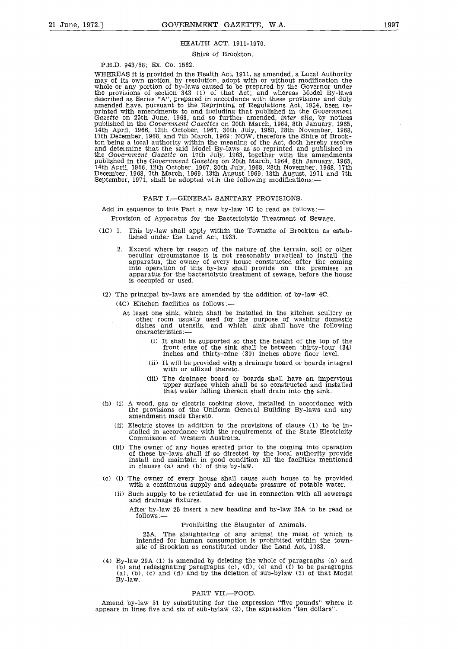### HEALTH ACT, 1911-1970.

### Shire of Brookton.

P.H.D. 943/58; Ex. Co. 1562.

WHEREAS it is provided in the Health Act, 1911, as amended, a Local Authority may of its own motion, by resolution, adopt with or without modification the whole or any portion of by-laws caused to be prepared by the Governor under the provisions of section 343 (1) of that Act; and whereas Model By-laws described as Series "A", prepared in accordance with these provisions and duly amended have, pursuant to the Reprinting of Regulations Act, 1954, been reprinted with amendments to and including that published in the Government Gazette on 25th June, 1963, and so further amended, *inter alia*, by notices published in the Government Gazettes on 20th March, 1965, 14th April, 1 ton being a local authority within the meaning of the Act, doth hereby resolve and determine that the said Model By-laws as so reprinted and published in<br>the Government Gazette on 17th July, 1963, together with the amendments<br>published in the Government Gazettes on 20th March, 1964, 8th January, 1965 14th April, 1966, 12th October, 1967, 30th July, 1968, 28th November, 1968, 17th<br>December, 1968, 7th March, 1969, 13th August 1969, 18th August, 1971 and 7th<br>September, 1971, shall be adopted with the following modificatio

### PART I.—GENERAL SANITARY PROVISIONS.

Add in sequence to this Part a new by-law 1C to read as follows:—

Provision of Apparatus for the Bacteriolytic Treatment of Sewage.

- (1C) 1. This by-law shall apply within the Townsite of Brookton as established under the Land Act, 1933.
	- 2. Except where by reason of the nature of the terrain, soil or other peculiar circumstance it is not reasonably practical to install the apparatus, the owner of every house constructed after the coming into operation of this by-law shall provide on the premises an apparatus for the bacteriolytic treatment of sewage, before the house is occupied or used.
- (2) The principal by-laws are amended by the addition of by-law 4C.

(4C) Kitchen facilities as follows:

- At least one sink, which shall be installed in the kitchen scullery or other room usually used for the purpose of washing domestic dishes and utensils, and which sink shall have the following characteristics:—
	- (i) It shall be supported so that the height of the top of the front edge of the sink shall be between thirty-four (34) inches and thirty-nine (39) inches above floor level.
	- (ii) It will be provided with a drainage board or boards integral with or affixed thereto.
	- (iii) The drainage board or boards shall have an impervious upper surface which shall be so constructed and installed that water falling thereon shall drain into the sink.
- (b) (i) A wood, gas or electric cooking stove, installed in accordance with the provisions of the Uniform General Building By-laws and any amendment made thereto.
	- (ii) Electric stoves in addition to the provisions of clause (1) to be installed in accordance with the requirements of the State Electricity Commission of Western Australia.
	- (iii) The owner of any house erected prior to the coming into operation of these by-laws shall if so directed by the local authority provide install and maintain in good condition all the facilities mentioned in clauses (a) and (b) of this by-law.
- (c) (i) The owner of every house shall cause such house to be provided with a continuous supply and adequate pressure of potable water.
	- (ii) Such supply to be reticulated for use in connection with all sewerage and drainage fixtures.

After by-law 25 insert a new heading and by-law 25A to be read as follows:—

### Prohibiting the Slaughter of Animals.

25A. The slaughtering of any animal the meat of which is intended for human consumption is prohibited within the townsite of Brookton as constituted under the Land Act, 1933.

(4) By-law 29A (1) is amended by deleting the whole of paragraphs (a) and  $(b)$  and redesignating paragraphs  $(c)$ ,  $(d)$ ,  $(e)$  and  $(f)$  to be paragraphs (a), (b), (c) and (d) and by the deletion of sub-bylaw (3) of that Model By-law.

### PART VII.—FOOD.

Amend by-law 51 by substituting for the expression "five pounds" where it appears in lines five and six of sub-bylaw (2), the expression "ten dollars".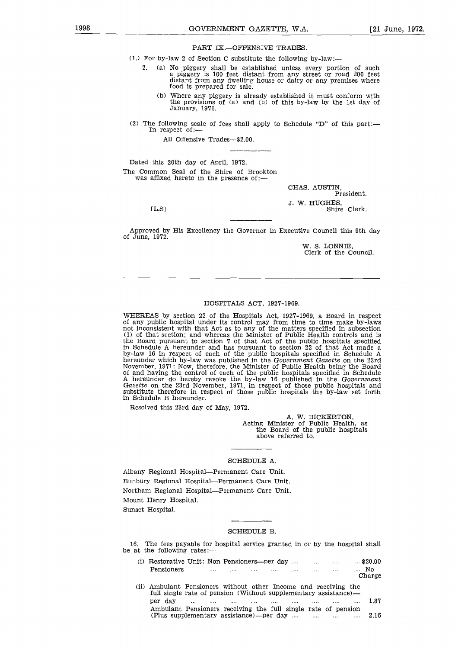PART IX.—OFFENSIVE TRADES.

1998 GOVERNMENT GAZETTE, W.A. [21 June, 1972.]<br>
PART IX.—OFFENSIVE TRADES.<br>
(1.) For by-law 2 of Section C substitute the following by-law:— (1.) For by-law 2 of Section C substitute the following by-law:-

- 2. (a) No piggery shall be established unless every portion of such a piggery is 100 feet distant from any street or road 200 feet distant from any dwelling house or dairy or any premises where food *is* prepared for sale.
	- (b) Where any piggery is already established it must conform with the provisions of (a) and (b) of this by-law by the 1st day of January, 1976.
- (2) The following scale of fees shall apply to Schedule "D" of this part:— In respect of:-

All Offensive Trades—\$2.00.

Dated this 20th day of April, 1972. The Common Seal of the Shire of Brookton was affixed hereto in the presence of: e foll<br>in res<br>Al<br>this 2<br>this 2<br>mon<br>IL.S]<br>red hy

 $[L.S]$ 

CHAS. AUSTIN, President. J. W. HUGHES, Shire Clerk.

Approved by His Excellency the Governor in Executive Council this 9th day of June, 1972.

> W. S. LONNIE, Clerk of the Council.

### HOSPITALS ACT, 1927-1969.

WHEREAS by section 22 of the Hospitals Act, 1927-1969, a Board in respect of any public hospital under its control may from time to time make by-laws not inconsistent with that Act as to any of the matters specified in subsection (1) of that section; and whereas the Minister of Public Health controls and is the Board pursuant to section 7 of that Act of the public hospitals specified in Schedule A hereunder and has pursuant to section 22 of that Act made a by-law 16 in respect of each of the public hospitals specified in Schedule A hereunder which by-law was published in the *Government Gazette* on the 23rd November, 1971: Now; therefore, the Minister of Public Health being the Board of and having the control of each of the public hospitals specified in Schedule A hereunder do hereby revoke the by-law 16 published in the *Government Gazette* on the 23rd November, 1971, in respect of those public hospitals and substitute therefore in respect of those public hospitals the by-law set forth in Schedule B hereunder.

Resolved this 23rd day of May, 1972.

A. W. BICKERTON, Acting Minister of Public Health, as the Board of the public hospitals above referred to.

### SCHEDULE A.

Albany Regional Hospital—Permanent Care Unit. Bunbury Regional Hospital—Permanent Care Unit. Northam Regional Hospital—Permanent Care Unit. Mount Henry Hospital. Sunset Hospital.

### SCHEDULE B.

16. The fees payable for hospital service granted in or by the hospital shall be at the following rates:—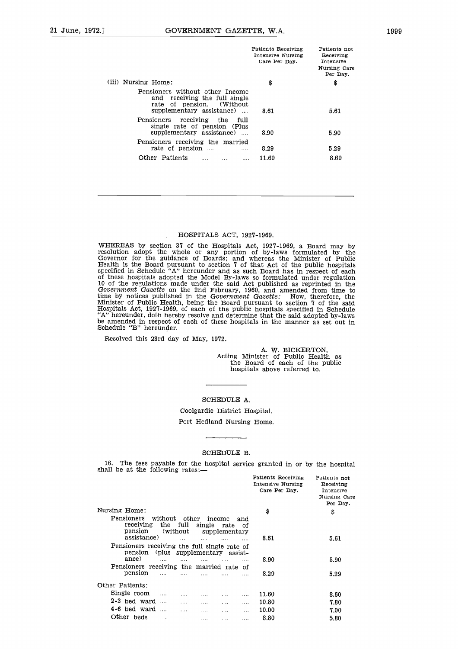| 21 June, 1972.] | GOVERNMENT GAZETTE, W.A.                                                                                                                   |                                                          |                                                                    | 1999 |
|-----------------|--------------------------------------------------------------------------------------------------------------------------------------------|----------------------------------------------------------|--------------------------------------------------------------------|------|
|                 |                                                                                                                                            | Patients Receiving<br>Intensive Nursing<br>Care Per Day. | Patients not<br>Receiving<br>Intensive<br>Nursing Care<br>Per Day. |      |
|                 | (iii) Nursing Home:                                                                                                                        | \$                                                       | \$                                                                 |      |
|                 | Pensioners without other Income<br>and receiving the full single<br>rate of pension.<br>(Without)<br>supplementary assistance)<br>$\ldots$ | 8.61                                                     | 5.61                                                               |      |
|                 | Pensioners<br>receiving<br>the<br>full<br>single rate of pension (Plus<br>supplementary assistance)<br>$\ldots$                            | 8.90                                                     | 5.90                                                               |      |
|                 | Pensioners receiving the married<br>rate of pension<br>$\cdots$                                                                            | 8.29                                                     | 5.29                                                               |      |
|                 | Other Patients<br><br>$\cdots$<br>$\cdots$                                                                                                 | 11.60                                                    | 8.60                                                               |      |
|                 |                                                                                                                                            |                                                          |                                                                    |      |

### HOSPITALS ACT, 1927-1969.

WHEREAS by section 37 of the Hospitals Act, 1927-1969, a Board may by resolution adopt the whole or any portion of by-laws formulated by the Governor for the guidance of Boards; and whereas the Minister of Public Health is the Board pursuant to section 7 of that Act of the public hospitals specified in Schedule "A" hereunder and as such Board has in respect of each of these hospitals adopted the Model By-laws so formulated under regulation 10 of the regulations made under the said Act published as reprinted in the Government Gazette on the 2nd February, 1960, and amended from time to time by notices published in the Government Gazette: Now, therefore, the Mi Hospitals Act, 1927-1969, of each of the public hospitals specified in Schedule "A" hereunder, doth hereby resolve and determine that the said adopted by-laws be amended in respect of each of these hospitals in the manner as set out in Schedule "B" hereunder.

Resolved this 23rd day of May, 1972.

A. W. BICKERTON, Acting Minister of Public Health as the Board of each of the public hospitals above referred to.

### SCHEDULE A.

### Coolgardie District Hospital.

Port Hedland Nursing Home.

### SCHEDULE B.

|                                                             |                                     |               |                  | SCHEDULE B.           |           |                                                          |                                                                         |
|-------------------------------------------------------------|-------------------------------------|---------------|------------------|-----------------------|-----------|----------------------------------------------------------|-------------------------------------------------------------------------|
| 16.<br>shall be at the following rates:-                    |                                     |               |                  |                       |           |                                                          | The fees payable for the hospital service granted in or by the hospital |
|                                                             |                                     |               |                  |                       |           | Patients Receiving<br>Intensive Nursing<br>Care Per Day. | Patients not<br>Receiving<br>Intensive<br>Nursing Care<br>Per Day.      |
| Nursing Home:<br>Pensioners<br>receiving<br>pension         | without<br>the<br>(without)         | other<br>full | income<br>single | rate<br>supplementary | and<br>Ωf | \$                                                       | \$                                                                      |
| assistance)<br>Pensioners receiving the full single rate of | pension (plus supplementary assist- |               | $\cdots$         | $\cdots$              |           | 8.61                                                     | 5.61                                                                    |
| ance)<br>Pensioners receiving the married rate              | $\cdots$                            |               | $\cdots$         |                       | .<br>Ωf   | 8.90                                                     | 5.90                                                                    |
| pension                                                     | $\cdots$                            | $\cdots$      |                  |                       | .         | 8.29                                                     | 5.29                                                                    |
| Other Patients:                                             |                                     |               |                  |                       |           |                                                          |                                                                         |
| Single room                                                 |                                     |               |                  |                       | $\cdots$  | 11.60                                                    | 8.60                                                                    |
| 2-3 bed ward                                                | $\cdots$                            |               | .                | .                     | $\cdots$  | 10.80                                                    | 7.80                                                                    |
| 4-6 bed ward                                                |                                     | $\cdots$      | 1.1.1            | $\cdots$              | .         | 10.00                                                    | 7.00                                                                    |
| Other beds                                                  | $\cdots$                            | $\cdots$      | .                | $\cdots$              | .         | 8.80                                                     | 5.80                                                                    |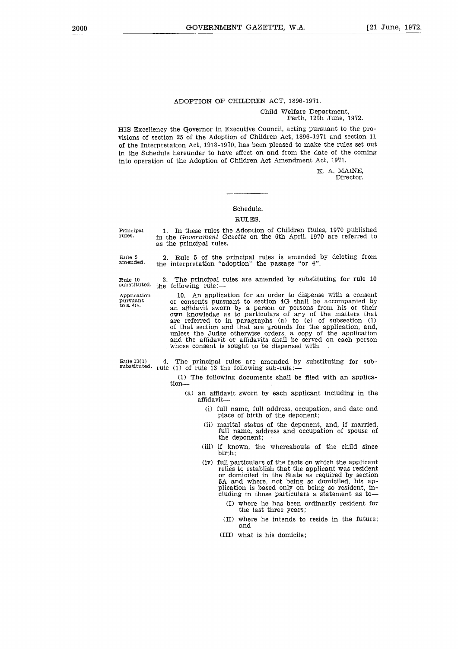### ADOPTION OF CHILDREN ACT, 1896-1971.

### Child Welfare Department, Perth, 12th June, 1972.

HIS Excellency the Governor in Executive Council, acting pursuant to the provisions of section 25 of the Adoption of Children Act, 1896-1971 and section 11 of the Interpretation Act, 1918-1970, has been pleased to make the rules set out in the Schedule hereunder to have effect on and from the date of the coming into operation of the Adoption of Children Act Amendment Act, 1971.

> K. A. MAINE, Director.

### Schedule.

### RULES.

the interpretation "adoption" the passage "or 4".

Principal rules.

1. In these rules the Adoption of Children Rules, 1970 published in the *Government Gazette* on the 6th April, 1970 are referred to as the principal rules.

2. Rule 5 of the principal rules is amended by deleting from

Rule 5 amended.

Rule 10 3. The principal rules are amended by substituting for rule 10

substituted. the following rule:-Application

pursuant to s.

10. An application for an order to dispense with a consent or consents pursuant to section 4G shall be accompanied by an affidavit sworn by a person or persons from his or their own knowledge as to particulars of any of the matters that are referred to in paragraphs (a) to (e) of subsection (1) of that section and that are grounds for the application, and, unless the Judge otherwise orders, a copy of the application and the affidavit or affidavits shall be served on each person whose consent is sought to be dispensed with. Rule 10 3. The principal rules are amended by substituting for rule 10<br>
substituted. the following rule:—<br>
Application for an order to dispense with a consent<br>
pursuant 10. An application for an order to dispense with a c

Rule 13(1) 4. The principal rules are amended by substituting for sub-<br>substituted. rule (1) of rule 13 the following sub-rule:—

(1) The following documents shall be filed with an application-

- (a) an affidavit sworn by each applicant including in the affidavit-
	- (i) full name, full address, occupation, and date and place of birth of the deponent;
	- (ii) marital status of the deponent, and, if married, full name, address and occupation of spouse of the deponent;
	- (iii) if known, the whereabouts of the child since birth;
	- (iv) full particulars of the facts on which the applicant relies to establish that the applicant was resident or domiciled in the State as required by section 5A and where, not being so domiciled, his application is based only on being so resident, including in those particulars a statement as to
		- (I) where he has been ordinarily resident for the last three years;
		- (II) where he intends to reside in the future; and
		- (III) what is his domicile;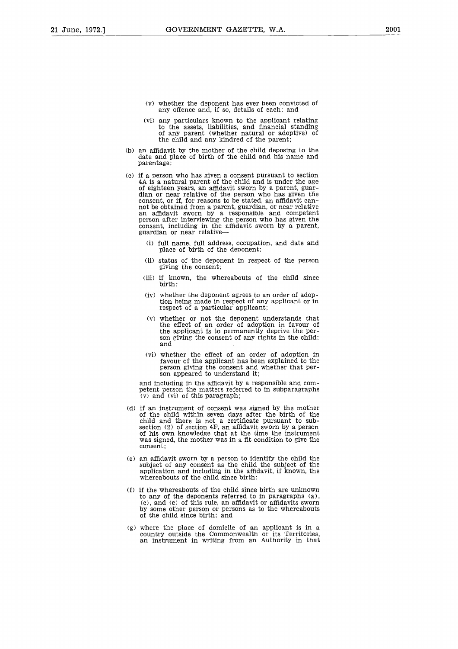- (v) whether the deponent has ever been convicted of any offence and, if so, details of each; and
- (vi) any particulars known to the applicant relating to the assets, liabilities, and financial standing of any parent (whether natural or adoptive) of the child and any kindred of the parent;
- (b) an affidavit by the mother of the child deposing to the date and place of birth of the child and his name and parentage;
- (c) if a person who has given a consent pursuant to section 4A is a natural parent of the child and is under the age of eighteen years, an affidavit sworn by a parent, guardian or near relative of the person who has given the consent, or if, for reasons to be stated, an affidavit cannot be obtained from a parent, guardian, or near relative an affidavit sworn by a responsible and competent person after interviewing the person who has given the consent, including in the affidavit sworn by a parent.<br>guardian or near relative—
	- (i) full name, full address, occupation, and date and place of birth of the deponent;
	- (ii) status of the deponent in respect of the person giving the consent;
	- (iii) if known, the whereabouts of the child since birth;
	- (iv) whether the deponent agrees to an order of adoption being made in respect of any applicant or in respect of a particular applicant;
	- (v) whether or not the deponent understands that the effect of an order of adoption in favour of the applicant is to permanently deprive the person giving the consent of any rights in the child; and
	- (vi) whether the effect of an order of adoption in favour of the applicant has been explained to the person giving the consent and whether that person appeared to understand it;

and including in the affidavit by a responsible and competent person the matters referred to in subparagraphs  $(v)$  and  $(vi)$  of this paragraph;

- (d) if an instrument of consent was signed by the mother of the child within seven days after the birth of the child and there is not a certificate pursuant to subsection (2) of section 4F, an affidavit sworn by a person of his own knowledge that at the time the instrument was signed, the mother was in a fit condition to give the consent;
- (e) an affidavit sworn by a person to identify the child the subject of any consent as the child the subject of the application and including in the affidavit, if known, the whereabouts of the child since birth;
- (f) if the whereabouts of the child since birth are unknown to any of the deponents referred to in paragraphs (a), (c), and (e) of this rule, an affidavit or affidavits sworn by some other person or persons as to the whereabouts of the child since birth; and
- (g) where the place of domicile of an applicant is in a country outside the Commonwealth or its Territories, an instrument in writing from an Authority in that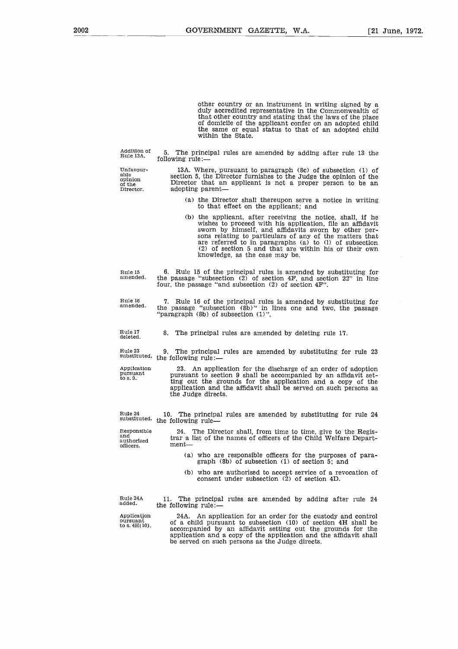other country or an instrument in writing signed by a duly accredited representative in the Commonwealth of that other country and stating that the laws of the place of domicile of the applicant confer on an adopted child the same or equal status to that of an adopted child within the State.

Addition of Rule 13A.

able opinion of the Director.

5. The principal rules are amended by adding after rule 13 the following rule:-

Unfavour-

13A. Where, pursuant to paragraph (8c) of subsection (1) of section 5, the Director furnishes to the Judge the opinion of the Director that an applicant is not a proper person to be an adopting parent

- (a) the Director shall thereupon serve a notice in writing to that effect on the applicant; and
- (b) the applicant, after receiving the notice, shall, if he wishes to proceed with his application, file an affidavit sworn by himself, and affidavits sworn by other persons relating to particulars of any of the matters that are referred to in paragraphs (a) to (1) of subsection (2) of section 5 and that are within his or their own knowledge, as the case may be.

6. Rule 15 of the principal rules is amended by substituting for the passage "subsection (2) of section 4F, and section 22" in line four, the passage "and subsection (2) of section 4F". Rule 15 amended.

7. Rule 16 of the principal rules is amended by substituting for the passage "subsection (8b)" in lines one and two, the passage "paragraph (8b) of subsection (1)". Rule 16 amended.

8. The principal rules are amended by deleting rule 17. Rule 17 deleted\_

9. The principal rules are amended by substituting for rule 23 Rule 23 9. The principal<br>substituted. the following rule:—

23. An application for the discharge of an order of adoption pursuant to section 9 shall be accompanied by an affidavit set-ting out the grounds for the application and a copy of the application and the affidavit shall be served on such persons as the Judge directs. Application pursuant to s. 9.

10. The principal rules are amended by substituting for rule 24 the following rule-Rule 24 substituted.

Responsible and authorised officers.

24. The Director shall, from time to time, give to the Registrar a list of the names of officers of the Child Welfare Department

- (a) who are responsible officers for the purposes of paragraph (8b) of subsection (1) of section 5; and
- (b) who are authorised to accept service of a revocation of consent under subsection (2) of section 4D.

Rule 24A added.

Application pursuant to  $s.4H(10)$ .

11. The principal rules are amended by adding after rule 24 the following rule:-

24A. An application for an order for the custody and control of a child pursuant to subsection (10) of section 4H shall be accompanied by an affidavit setting out the grounds for the application and a copy of the application and the affidavit shall be served on such persons as the Judge directs.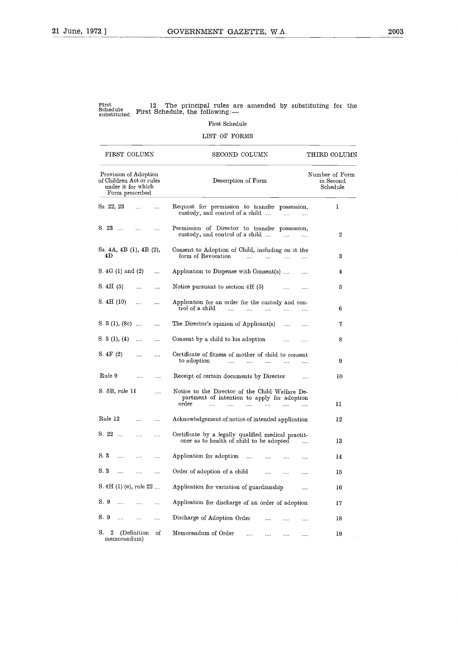### First Schedule

| First<br>Schedule<br>substituted.                                                          |              | 12.      | The principal rules are amended by substituting for the<br>First Schedule, the following:-<br>First Schedule                |                                         |
|--------------------------------------------------------------------------------------------|--------------|----------|-----------------------------------------------------------------------------------------------------------------------------|-----------------------------------------|
|                                                                                            |              |          | LIST OF FORMS                                                                                                               |                                         |
| FIRST COLUMN                                                                               |              |          | SECOND COLUMN                                                                                                               | THIRD COLUMN                            |
| Provision of Adoption<br>of Children Act or rules<br>under it for which<br>Form prescribed |              |          | Description of Form                                                                                                         | Number of Form<br>in Second<br>Schedule |
| Ss. 22, 23                                                                                 | $\cdots$     | $\cdots$ | Request for permission to transfer possession,<br>custody, and control of a child<br>$\cdots$                               | 1                                       |
| $S. 23 \dots$                                                                              | $\cdots$     | $\cdots$ | Permission of Director to transfer possession,<br>custody, and control of a child<br>$\cdots$<br>$\cdots$                   | $\boldsymbol{2}$                        |
| Ss. 4A, 4B (1), 4B (2),<br>4D                                                              |              |          | Consent to Adoption of Child, including on it the<br>form of Revocation<br>$\ddotsc$<br>$\sim$<br>$\cdots$<br>$\cdots$      | 3                                       |
| S. 4G (1) and (2)                                                                          |              |          | Application to Dispense with Consent(s)                                                                                     | 4                                       |
| S. 4H(5)                                                                                   | .            |          | Notice pursuant to section $4H(5)$<br><br>$\cdots$                                                                          | 5                                       |
| S. 4H(10)                                                                                  |              |          | Application for an order for the custody and con-<br>trol of a child<br>$\cdots$<br>$\ddotsc$<br>$\ldots$<br>$\cdots$       | 6                                       |
| S. 5 (1), (8e)                                                                             |              |          | The Director's opinion of Applicant(s)<br>$\cdots$<br>$\cdots$                                                              | 7                                       |
| S. $5(1), (4)$                                                                             |              | $\cdots$ | Consent by a child to his adoption<br><br>$\cdots$                                                                          | 8                                       |
| S. 4F(2)                                                                                   |              | .        | Certificate of fitness of mother of child to consent<br>to adoption<br>$\cdots$<br><br><br>$\cdots$                         | 9                                       |
| Rule 9                                                                                     | $\cdots$     |          | Receipt of certain documents by Director<br>$\cdots$                                                                        | 10                                      |
| S. 5B, rule 11                                                                             |              |          | Notice to the Director of the Child Welfare De-<br>partment of intention to apply for adoption<br>order<br>$\cdots$<br><br> | 11                                      |
| Rule 12                                                                                    | .            | $\cdots$ | $\cdots$<br>Acknowledgement of notice of intended application                                                               | 12                                      |
| $S. 22$                                                                                    |              |          | Certificate by a legally qualified medical practit-<br>oner as to health of child to be adopted                             | 13                                      |
| S. 3<br>$\cdots$                                                                           |              | $\cdots$ | Application for adoption<br>$\cdots$<br>                                                                                    | 14                                      |
| S. 3                                                                                       | $\cdots$     |          | Order of adoption of a child<br><br>$\cdots$                                                                                | 15                                      |
| S. 4H(1)(e), rule 22                                                                       |              |          | Application for variation of guardianship<br>                                                                               | 16                                      |
| S 9                                                                                        | $\cdots$     |          | Application for discharge of an order of adoption                                                                           | 17                                      |
| S. 9                                                                                       | $\cdots$     |          | Discharge of Adoption Order                                                                                                 | 18                                      |
| S.<br>2<br>memorandum)                                                                     | (Definition) | οf       | Memorandum of Order<br><br>$\cdots$<br>$\cdots$<br>                                                                         | 19                                      |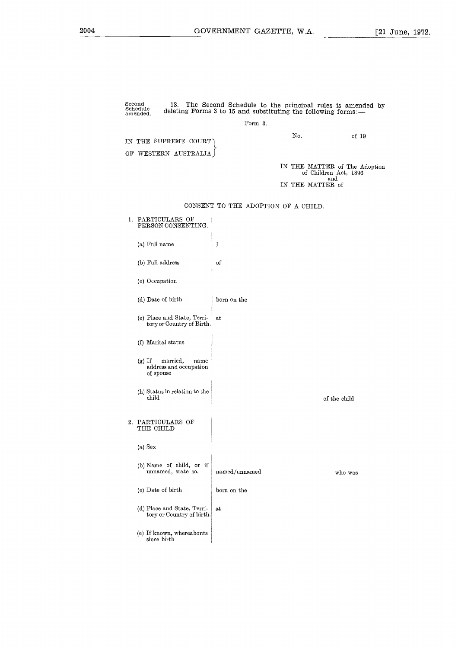ncipal rules is amend<br>the following forms:—<br>No. of 19 Second Schedule amended. 13. The Second Schedule to the principal rules is amended by deleting Forms 3 to 15 and substituting the following forms:— Form 3. IN THE SUPREME COURT OF WESTERN AUSTRALIA IN THE MATTER of The Adoption of Children Act, 1896 and IN THE MATTER of CONSENT TO THE ADOPTION OF A CHILD. 1. PARTICULARS OF PERSON CONSENTING. (a) Full name  $\mathbf I$ (b) Full address of (c) Occupation (d) Date of birth born on the (e) Place and State, Terriat tory or Country of Birth. (f) Marital status (g) If married, name address and occupation of spouse (h) Status in relation to the child of the child 2. PARTICULARS OF THE CHILD (a) Sex (b) Name of child, or if unnamed, state so. named/unnamed who was (c) Date of birth born on the (d) Place and State, Terriat tory or Country of birth. (e) If known, whereabouts since birth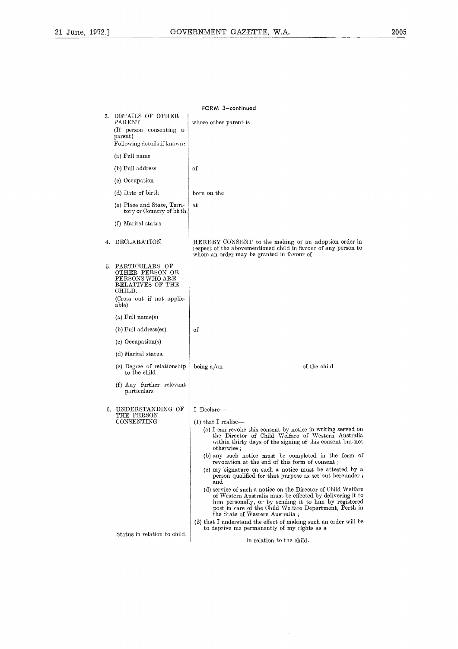|    | FORM 3-continued                                                                                                            |                                                                                                                                                                                                                                                                                                                                                                                                                                                                                                                                                                                                                                                                                                                                                                                                                                                                                    |  |  |  |  |  |
|----|-----------------------------------------------------------------------------------------------------------------------------|------------------------------------------------------------------------------------------------------------------------------------------------------------------------------------------------------------------------------------------------------------------------------------------------------------------------------------------------------------------------------------------------------------------------------------------------------------------------------------------------------------------------------------------------------------------------------------------------------------------------------------------------------------------------------------------------------------------------------------------------------------------------------------------------------------------------------------------------------------------------------------|--|--|--|--|--|
| 3. | DETAILS OF OTHER<br>$\rm{PARENT}$<br>(If person consenting a<br>parent)<br>Following details if known:                      | whose other parent is                                                                                                                                                                                                                                                                                                                                                                                                                                                                                                                                                                                                                                                                                                                                                                                                                                                              |  |  |  |  |  |
|    | (a) Full name                                                                                                               |                                                                                                                                                                                                                                                                                                                                                                                                                                                                                                                                                                                                                                                                                                                                                                                                                                                                                    |  |  |  |  |  |
|    | (b) Full address                                                                                                            | of                                                                                                                                                                                                                                                                                                                                                                                                                                                                                                                                                                                                                                                                                                                                                                                                                                                                                 |  |  |  |  |  |
|    | (c) Occupation                                                                                                              |                                                                                                                                                                                                                                                                                                                                                                                                                                                                                                                                                                                                                                                                                                                                                                                                                                                                                    |  |  |  |  |  |
|    | (d) Date of birth                                                                                                           | born on the                                                                                                                                                                                                                                                                                                                                                                                                                                                                                                                                                                                                                                                                                                                                                                                                                                                                        |  |  |  |  |  |
|    | (e) Place and State, Terri-<br>tory or Country of birth.                                                                    | at                                                                                                                                                                                                                                                                                                                                                                                                                                                                                                                                                                                                                                                                                                                                                                                                                                                                                 |  |  |  |  |  |
|    | (f) Marital status                                                                                                          |                                                                                                                                                                                                                                                                                                                                                                                                                                                                                                                                                                                                                                                                                                                                                                                                                                                                                    |  |  |  |  |  |
|    | 4. DECLARATION                                                                                                              | HEREBY CONSENT to the making of an adoption order in<br>respect of the abovementioned child in favour of any person to<br>whom an order may be granted in favour of                                                                                                                                                                                                                                                                                                                                                                                                                                                                                                                                                                                                                                                                                                                |  |  |  |  |  |
|    | 5. PARTICULARS OF<br>OTHER PERSON OR<br>PERSONS WHO ARE<br>RELATIVES OF THE<br>CHILD.<br>(Cross out if not applic-<br>able) |                                                                                                                                                                                                                                                                                                                                                                                                                                                                                                                                                                                                                                                                                                                                                                                                                                                                                    |  |  |  |  |  |
|    | (a) Full name(s)                                                                                                            |                                                                                                                                                                                                                                                                                                                                                                                                                                                                                                                                                                                                                                                                                                                                                                                                                                                                                    |  |  |  |  |  |
|    | (b) Full address(es)                                                                                                        | of                                                                                                                                                                                                                                                                                                                                                                                                                                                                                                                                                                                                                                                                                                                                                                                                                                                                                 |  |  |  |  |  |
|    | (c) Occupation(s)                                                                                                           |                                                                                                                                                                                                                                                                                                                                                                                                                                                                                                                                                                                                                                                                                                                                                                                                                                                                                    |  |  |  |  |  |
|    | (d) Marital status.                                                                                                         |                                                                                                                                                                                                                                                                                                                                                                                                                                                                                                                                                                                                                                                                                                                                                                                                                                                                                    |  |  |  |  |  |
|    | (e) Degree of relationship<br>to the child                                                                                  | of the child<br>being a/an                                                                                                                                                                                                                                                                                                                                                                                                                                                                                                                                                                                                                                                                                                                                                                                                                                                         |  |  |  |  |  |
|    | (f) Any further relevant<br>particulars                                                                                     |                                                                                                                                                                                                                                                                                                                                                                                                                                                                                                                                                                                                                                                                                                                                                                                                                                                                                    |  |  |  |  |  |
| 6. | UNDERSTANDING OF<br>THE PERSON<br>CONSENTING                                                                                | I Declare-<br>$(1)$ that I realise—<br>(a) I can revoke this consent by notice in writing served on<br>the Director of Child Welfare of Western Australia<br>within thirty days of the signing of this consent but not<br>otherwise:<br>(b) any such notice must be completed in the form of<br>revocation at the end of this form of consent;<br>(c) my signature on such a notice must be attested by a<br>person qualified for that purpose as set out hereunder;<br>and<br>(d) service of such a notice on the Director of Child Welfare<br>of Western Australia must be effected by delivering it to<br>him personally, or by sending it to him by registered<br>post in care of the Child Welfare Department, Perth in<br>the State of Western Australia;<br>(2) that I understand the effect of making such an order will be<br>to deprive me permanently of my rights as a |  |  |  |  |  |
|    | Status in relation to child.                                                                                                | in relation to the child.                                                                                                                                                                                                                                                                                                                                                                                                                                                                                                                                                                                                                                                                                                                                                                                                                                                          |  |  |  |  |  |

 $\hat{\mathcal{A}}$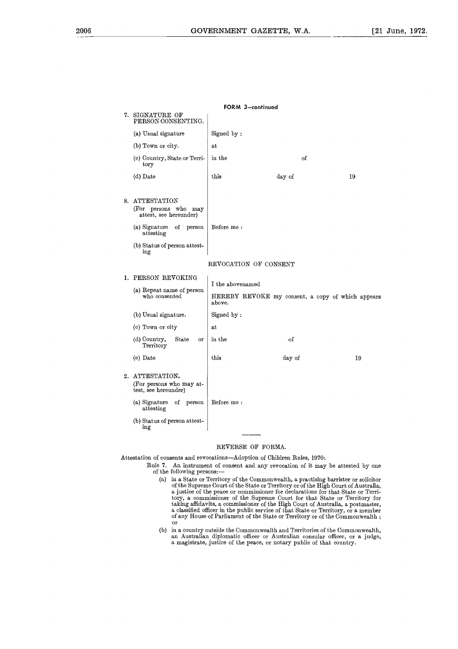|                                                                                                   | FORM 3-continued                                            |        |    |
|---------------------------------------------------------------------------------------------------|-------------------------------------------------------------|--------|----|
| 7. SIGNATURE OF<br>PERSON CONSENTING.                                                             |                                                             |        |    |
| (a) Usual signature                                                                               | Signed by:                                                  |        |    |
| (b) Town or city.                                                                                 | at                                                          |        |    |
| (c) Country, State or Terri-<br>tory                                                              | in the                                                      | of     |    |
| (d) Date                                                                                          | this                                                        | day of | 19 |
| 8. ATTESTATION<br>(For persons who may<br>attest, see hereunder)                                  |                                                             |        |    |
| (a) Signature<br>of person<br>attesting                                                           | Before me:                                                  |        |    |
| (b) Status of person attest-<br>ing                                                               |                                                             |        |    |
|                                                                                                   | REVOCATION OF CONSENT                                       |        |    |
| 1. PERSON REVOKING<br>(a) Repeat name of person                                                   | I the abovenamed                                            |        |    |
| who consented                                                                                     | HEREBY REVOKE my consent, a copy of which appears<br>above. |        |    |
| (b) Usual signature.                                                                              | Signed by:                                                  |        |    |
| (c) Town or city                                                                                  | at                                                          |        |    |
| (d) Country,<br>State<br>or<br>Territory                                                          | in the                                                      | οf     |    |
| (e) Date                                                                                          | this                                                        | day of | 19 |
| 2. ATTESTATION.<br>(For persons who may at-<br>test, see hereunder)<br>(a) Signature<br>of person | Before me:                                                  |        |    |
| attesting<br>(b) Status of person attest-<br>ing                                                  |                                                             |        |    |

### REVERSE OF FORMA.

Attestation of consents and revocations—Adoption of Children Rules, 1970:

- Rule 7. An instrument of consent and any revocation of it may be attested by one of the following persons:
	- (a) in a State or Territory of the Commonwealth, a practising barrister or solicitor of the Supreme Court of the State or Territory or of the High Court of Australia, a justice of the peace or commissioner for declarations a classified officer in the public service of that State or Territory, or a member of any House of Parliament of the State or Territory or of the Commonwealth ; or
	- (b) in a country outside the Commonwealth and Territories of the Commonwealth, an Australian diplomatic officer or Australian consular officer, or a judge<br>a magistrate, justice of the peace, or notary public of that country.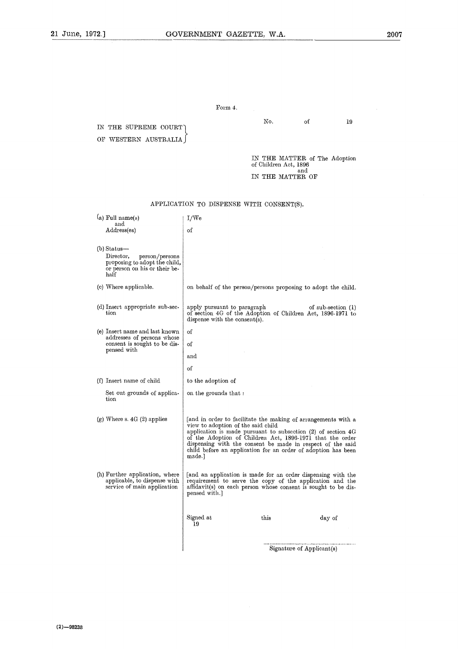Form 4.

### No. of 19 IN THE SUPREME COURT OF WESTERN AUSTRALIA.) IN THE MATTER of The Adoption of Children Act, 1896 and IN THE MATTER OF APPLICATION TO DISPENSE WITH CONSENT(S).  $(a)$  Full name(s) I/We and of Address(es) (b) Status Director, person/persons proposing to adopt the child, or person on his or their behalf (c) Where applicable. on behalf of the person/persons proposing to adopt the child. (d) Insert appropriate sub-secapply pursuant to paragraph of sub-section (1)<br>of section 4G of the Adoption of Children Act, 1896-1971 to tion dispense with the consent(s). (e) Insert name and last known of addresses of persons whose consent is sought to be disof pensed with and of (f) Insert name of child to the adoption of Set out grounds of applicaon the grounds that : tion (g) Where s. 4G (2) applies [and in order to facilitate the making of arrangements with a view to adoption of the said child application is made pursuant to subsection (2) of section 40 of the Adoption of Children Act, 1896-1971 that the order of the Adoption of Children Act, 1896-1971 that the<br>dispensing with the consent be made in respect of the<br>dispensing with the consent be made in respect of the<br>hild before an application for an order of adoption ha<br>made.]<br> dispensing with the consent be made in respect of the said child before an application for an order of adoption has been made.] (h) Further application, where<br>applicable, to dispense with [and an application is made for an order dispensing with the requirement to serve the copy of the application and the affidavit(s) on each person whose consent is sought to be disservice of main application pensed with.]  $\begin{array}{c}\text{Signed at}\\ \text{I9}\end{array}$ . . . . . . . . . . . . . . Signature of Applicant(s)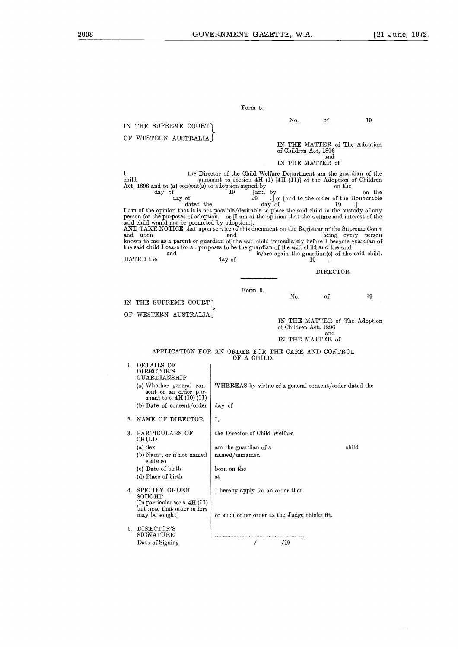|                                                                                                                                                                                                                                                                                                                                                                                                                                                                          | GOVERNMENT GAZETTE, W.A.                                                                                                                          |                         |                       |              | Г21                                                                   |
|--------------------------------------------------------------------------------------------------------------------------------------------------------------------------------------------------------------------------------------------------------------------------------------------------------------------------------------------------------------------------------------------------------------------------------------------------------------------------|---------------------------------------------------------------------------------------------------------------------------------------------------|-------------------------|-----------------------|--------------|-----------------------------------------------------------------------|
|                                                                                                                                                                                                                                                                                                                                                                                                                                                                          |                                                                                                                                                   |                         |                       |              |                                                                       |
|                                                                                                                                                                                                                                                                                                                                                                                                                                                                          |                                                                                                                                                   | Form 5.                 |                       |              |                                                                       |
|                                                                                                                                                                                                                                                                                                                                                                                                                                                                          |                                                                                                                                                   |                         | No.                   | оf           | 19                                                                    |
| IN THE SUPREME COURT)<br>OF WESTERN AUSTRALIA                                                                                                                                                                                                                                                                                                                                                                                                                            |                                                                                                                                                   |                         |                       |              |                                                                       |
|                                                                                                                                                                                                                                                                                                                                                                                                                                                                          |                                                                                                                                                   |                         | of Children Act, 1896 | and          | IN THE MATTER of The Adoption                                         |
|                                                                                                                                                                                                                                                                                                                                                                                                                                                                          |                                                                                                                                                   |                         | IN THE MATTER of      |              |                                                                       |
| 1<br>$\hbox{child}$<br>Act, 1896 and to (a) consent(s) to adoption signed by<br>day of<br>day of<br>dated the<br>I am of the opinion that it is not possible/desirable to place the said child in the custody of any<br>person for the purposes of adoption. or [I am of the opinion that the welfare and interest of the<br>said child would not be promoted by adoption.].<br>AND TAKE NOTICE that upon service of this document on the Registrar of the Supreme Court | the Director of the Child Welfare Department am the guardian of the<br>pursuant to section $4H(1)$ [4H $(11)$ ] of the Adoption of Children<br>19 | fand by<br>19<br>day of |                       | on the<br>19 | on the<br>.] or [and to the order of the Honourable                   |
| and upon<br>known to me as a parent or guardian of the said child immediately before I became guardian of<br>the said child I cease for all purposes to be the guardian of the said child and the said<br>and<br>DATED the                                                                                                                                                                                                                                               | and<br>day of                                                                                                                                     |                         |                       | 19           | being every person<br>is/are again the guardian(s) of the said child. |
|                                                                                                                                                                                                                                                                                                                                                                                                                                                                          |                                                                                                                                                   |                         |                       | DIRECTOR.    |                                                                       |
| THE SUPREME COURT<br>IN.                                                                                                                                                                                                                                                                                                                                                                                                                                                 |                                                                                                                                                   | Form 6.                 | No.                   | οf           | 19                                                                    |
| OF WESTERN AUSTRALIA                                                                                                                                                                                                                                                                                                                                                                                                                                                     |                                                                                                                                                   |                         | of Children Act, 1896 |              | IN THE MATTER of The Adoption                                         |
|                                                                                                                                                                                                                                                                                                                                                                                                                                                                          |                                                                                                                                                   |                         | IN THE MATTER of      | and          |                                                                       |
| APPLICATION FOR AN ORDER FOR THE CARE AND CONTROL                                                                                                                                                                                                                                                                                                                                                                                                                        |                                                                                                                                                   | OF A CHILD.             |                       |              |                                                                       |
| 1. DETAILS OF<br>DIRECTOR'S<br>GUARDIANSHIP<br>(a) Whether general con-<br>sent or an order pur-<br>suant to s. $4H(10)(11)$<br>(b) Date of consent/order                                                                                                                                                                                                                                                                                                                | WHEREAS by virtue of a general consent/order dated the<br>day of                                                                                  |                         |                       |              |                                                                       |
| 2. NAME OF DIRECTOR                                                                                                                                                                                                                                                                                                                                                                                                                                                      | Ι,                                                                                                                                                |                         |                       |              |                                                                       |
| PARTICULARS OF<br>3.<br>CHILD                                                                                                                                                                                                                                                                                                                                                                                                                                            | the Director of Child Welfare                                                                                                                     |                         |                       |              |                                                                       |
| (a) Sex<br>(b) Name, or if not named<br>state so                                                                                                                                                                                                                                                                                                                                                                                                                         | am the guardian of a<br>named/unnamed                                                                                                             |                         |                       |              | child                                                                 |
| (c) Date of birth<br>(d) Place of birth                                                                                                                                                                                                                                                                                                                                                                                                                                  | born on the<br>at                                                                                                                                 |                         |                       |              |                                                                       |
| 4. SPECIFY ORDER<br>$_{\rm SOUGHT}$<br>[In particular see s. 4H (11)]<br>but note that other orders<br>may be sought]                                                                                                                                                                                                                                                                                                                                                    | I hereby apply for an order that<br>or such other order as the Judge thinks fit.                                                                  |                         |                       |              |                                                                       |
| 5. DIRECTOR'S<br>$_{\rm SIGNATURE}$<br>Date of Signing                                                                                                                                                                                                                                                                                                                                                                                                                   |                                                                                                                                                   |                         | <br>/19               |              |                                                                       |
|                                                                                                                                                                                                                                                                                                                                                                                                                                                                          |                                                                                                                                                   |                         |                       |              |                                                                       |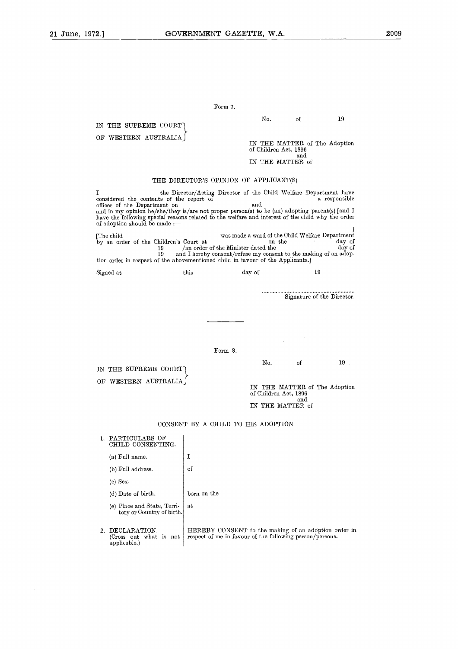### Form 7.

IN THE SUPREME COURT

OF WESTERN AUSTRALIA

No. 38 of the Adopt<br>THE MATTER of The Adopt<br>THE MATTER of The Adopt IN THE MATTER of The Adoption of Children Act, 1896 and

IN THE MATTER of

### THE DIRECTOR'S OPINION OF APPLICANT(S)

Form 7.<br>
IN THE SUPRENE COURT<br>
OF WESTERN AUSTRALIA<br>
(IN THE MATTER of The Adoption<br>
of Children Act, 1896<br>
(IN THE MATTER of the Adoption<br>
or Children Act, 1896<br>
(IN THE MATTER of<br>
IN THE MATTER of<br>
one and in my option t and in my opinion he/she/they is/are not proper person(s) to be (an) adopting parent(s) [and ] have the following special reasons related to the welfare and interest of the child why the order of adoption should be made :— IN THE MATTER of The Adoption<br>
of Children Act, 1896<br>
and<br>
IN THE MATTER of The Adoption<br>  $\frac{1}{2}$ <br>
IN THE DIRECTOR'S OPINION OF APPLICANT(S)<br>
I<br>
the Director/Acting Director of the Child Welfare Department have<br>
conside

was made a ward of the Child Welfare Department tion order of the Children's Court at the child in favour of the Minister dated the day of an order in respect of the abovementioned child in favour of the Applicants.]

| Signed at | $_{\rm this}$ | day of |  |
|-----------|---------------|--------|--|
|-----------|---------------|--------|--|

Signature of the Director.

Form 8.

OF WESTERN AUSTRALIA 1 IN THE SUPREME COURT 19<br>
Signature of the Direct<br>
Signature of the Direct<br>
No. of 19<br>
THE MATTER of The Adopt

IN THE MATTER of The Adoption of Children Act, 1896 and IN THE MATTER of

### CONSENT BY A CHILD TO HIS ADOPTION

|    | PARTICULARS OF<br>CHILD CONSENTING.                      |                                                                                                                  |
|----|----------------------------------------------------------|------------------------------------------------------------------------------------------------------------------|
|    | (a) Full name.                                           | I                                                                                                                |
|    | (b) Full address.                                        | οf                                                                                                               |
|    | $(c)$ Sex.                                               |                                                                                                                  |
|    | (d) Date of birth.                                       | born on the                                                                                                      |
|    | (e) Place and State, Terri-<br>tory or Country of birth. | at                                                                                                               |
| 2. | DECLARATION.<br>(Cross out what is not<br>applicable.)   | HEREBY CONSENT to the making of an adoption order in<br>respect of me in favour of the following person/persons. |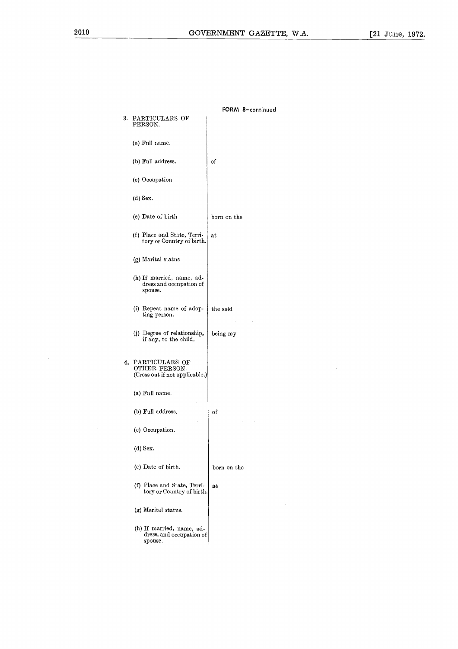|    |                                                                   | FORM 8-continued |
|----|-------------------------------------------------------------------|------------------|
| 3. | PARTICULARS OF<br>PERSON.                                         |                  |
|    | (a) Full name.                                                    |                  |
|    | (b) Full address.                                                 | of               |
|    | (c) Occupation                                                    |                  |
|    | (d) Sex.                                                          |                  |
|    | (e) Date of birth                                                 | born on the      |
|    | (f) Place and State, Terri-<br>tory or Country of birth.          | at               |
|    | (g) Marital status                                                |                  |
|    | (h) If married, name, ad-<br>dress and occupation of<br>spouse.   |                  |
|    | (i) Repeat name of adop-<br>ting person.                          | the said         |
|    | (j) Degree of relationship,<br>if any, to the child.              | being my         |
| 4. | PARTICULARS OF<br>OTHER PERSON.<br>(Cross out if not applicable.) |                  |
|    | (a) Full name.                                                    |                  |
|    | (b) Full address.                                                 | of               |
|    | (c) Occupation.                                                   |                  |
|    | (d) Sex.                                                          |                  |
|    | (e) Date of birth.                                                | born on the      |
|    | (f) Place and State, Terri-<br>tory or Country of birth.          | at               |
|    | (g) Marital status.                                               |                  |
|    | (h) If married, name, ad-<br>dress, and occupation of<br>spouse.  |                  |

 $\mathcal{L}_{\text{max}}$  and  $\mathcal{L}_{\text{max}}$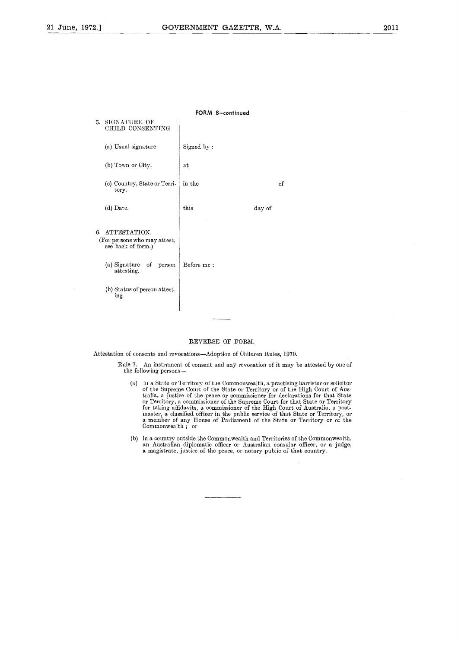|    |                                                                                                                                                          | FORM 8-continued |        |    |
|----|----------------------------------------------------------------------------------------------------------------------------------------------------------|------------------|--------|----|
| 5. | SIGNATURE OF<br>CHILD CONSENTING                                                                                                                         |                  |        |    |
|    | (a) Usual signature                                                                                                                                      | Signed by:       |        |    |
|    | (b) Town or City.                                                                                                                                        | at               |        |    |
|    | (c) Country, State or Terri-<br>tory.                                                                                                                    | in the           |        | of |
|    | (d) Date.                                                                                                                                                | this             | day of |    |
| 6. | ATTESTATION.<br>(For persons who may attest,<br>see back of form.)<br>(a) Signature<br>of<br>person<br>attesting.<br>(b) Status of person attest-<br>ing | Before me :      |        |    |

### REVERSE OF FORM.

Attestation of consents and revocations—Adoption of Children Rules, 1970.

- Rule 7. An instrument of consent and any revocation of it may be attested by one of the following persons
	- (a) in a State or Territory of the Commonwealth, a practising barrister or solicitor<br>of the Supreme Court of the State or Territory or of the High Court of Aus-<br>tralia, a justice of the peace or commissioner for declaratio or Territory, a commissioner of the Supreme Court for that State or Territory<br>for taking affidavits, a commissioner of the High Court of Australia, a post-<br>master, a classified officer in the public service of that State o
	- (b) in a country outside the Commonwealth and Territories of the Commonwealth an Australian diplomatic officer or Australian consular officer, or a judge a magistrate, justice of the peace, or notary public of that country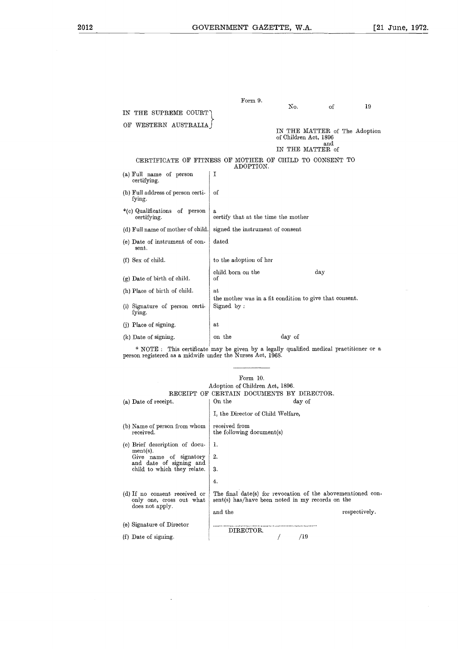|                                                                                                                                                       | GOVERNMENT GAZETTE, W.A.                                                                           |                       |                               | [2 |
|-------------------------------------------------------------------------------------------------------------------------------------------------------|----------------------------------------------------------------------------------------------------|-----------------------|-------------------------------|----|
|                                                                                                                                                       |                                                                                                    |                       |                               |    |
|                                                                                                                                                       | Form 9.                                                                                            |                       |                               |    |
| THE SUPREME COURT<br>IΝ                                                                                                                               |                                                                                                    | No.                   | of                            | 19 |
| OF WESTERN AUSTRALIA                                                                                                                                  |                                                                                                    | of Children Act, 1896 | IN THE MATTER of The Adoption |    |
|                                                                                                                                                       |                                                                                                    | IN THE MATTER of      | and                           |    |
| CERTIFICATE OF FITNESS OF MOTHER OF CHILD TO CONSENT TO                                                                                               | ADOPTION.                                                                                          |                       |                               |    |
| (a) Full name of person<br>certifying.                                                                                                                | Ι                                                                                                  |                       |                               |    |
| (b) Full address of person certi-<br>fying.                                                                                                           | οf                                                                                                 |                       |                               |    |
| *(c) Qualifications of person<br>certifying.                                                                                                          | a<br>certify that at the time the mother                                                           |                       |                               |    |
| (d) Full name of mother of child.                                                                                                                     | signed the instrument of consent                                                                   |                       |                               |    |
| (e) Date of instrument of con-<br>sent.                                                                                                               | dated                                                                                              |                       |                               |    |
| (f) Sex of child.                                                                                                                                     | to the adoption of her                                                                             |                       |                               |    |
| $(g)$ Date of birth of child.                                                                                                                         | cliild born on the<br>of                                                                           |                       | day                           |    |
| (h) Place of birth of clild.                                                                                                                          | at                                                                                                 |                       |                               |    |
| (i) Signature of person certi-<br>fying.                                                                                                              | the mother was in a fit condition to give that consent.<br>Signed by:                              |                       |                               |    |
| (j) Place of signing.                                                                                                                                 | at                                                                                                 |                       |                               |    |
| (k) Date of signing.                                                                                                                                  | on the                                                                                             | day of                |                               |    |
| * NOTE : This certificate may be given by a legally qualified medical practitioner or a<br>person registered as a midwife under the Nurses Act, 1968. |                                                                                                    |                       |                               |    |
| (a) Date of receipt.                                                                                                                                  | Form 10.<br>Adoption of Children Act, 1896.<br>RECEIPT OF CERTAIN DOCUMENTS BY DIRECTOR.<br>On the | day of                |                               |    |
|                                                                                                                                                       | I, the Director of Child Welfare,                                                                  |                       |                               |    |
| (b) Name of person from whom received from                                                                                                            |                                                                                                    |                       |                               |    |

| тогш то.<br>Adoption of Children Act, 1896.                      |                                                                                                                 |               |  |  |  |  |  |
|------------------------------------------------------------------|-----------------------------------------------------------------------------------------------------------------|---------------|--|--|--|--|--|
|                                                                  | RECEIPT OF CERTAIN DOCUMENTS BY DIRECTOR.                                                                       |               |  |  |  |  |  |
| (a) Date of receipt.                                             | On the<br>day of                                                                                                |               |  |  |  |  |  |
|                                                                  | I, the Director of Child Welfare,                                                                               |               |  |  |  |  |  |
| (b) Name of person from whom<br>received.                        | received from<br>the following document(s)                                                                      |               |  |  |  |  |  |
| (c) Brief description of docu-                                   | 1.                                                                                                              |               |  |  |  |  |  |
| $ment(s)$ .<br>Give name of signatory<br>and date of signing and | 2.                                                                                                              |               |  |  |  |  |  |
| child to which they relate.                                      | 3.                                                                                                              |               |  |  |  |  |  |
|                                                                  | 4.                                                                                                              |               |  |  |  |  |  |
| (d) If no consent received or<br>only one, cross out what        | The final date(s) for revocation of the abovementioned con-<br>sent(s) has/have been noted in my records on the |               |  |  |  |  |  |
| does not apply.                                                  | and the                                                                                                         | respectively. |  |  |  |  |  |
| (e) Signature of Director                                        | DIRECTOR.                                                                                                       |               |  |  |  |  |  |
| (f) Date of signing.                                             | /19                                                                                                             |               |  |  |  |  |  |
|                                                                  |                                                                                                                 |               |  |  |  |  |  |
|                                                                  |                                                                                                                 |               |  |  |  |  |  |

 $\mathcal{L}$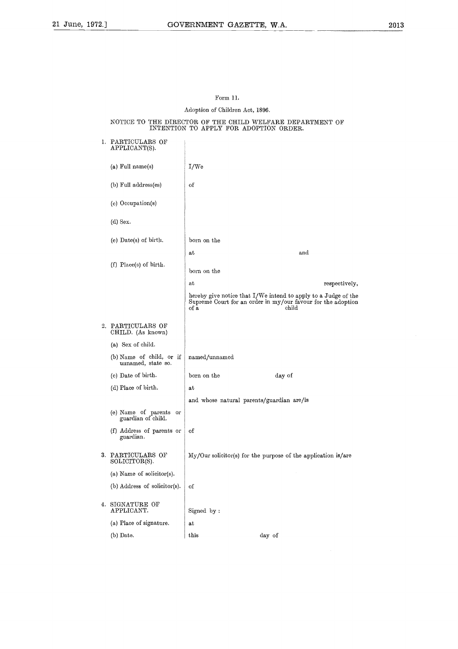### Form 11.

### Adoption of Children Act, 1896.

### NOTICE TO THE DIRECTOR OF THE CHILD WELFARE DEPARTMENT OF INTENTION TO APPLY FOR ADOPTION ORDER.

|    | 1. PARTICULARS OF<br>APPLICANT(S).             |               |                                                                                                                                         |
|----|------------------------------------------------|---------------|-----------------------------------------------------------------------------------------------------------------------------------------|
|    | (a) Full name(s)                               | I/We          |                                                                                                                                         |
|    | (b) Full address(es)                           | οf            |                                                                                                                                         |
|    | (c) Occupation(s)                              |               |                                                                                                                                         |
|    | $(d)$ Sex.                                     |               |                                                                                                                                         |
|    | $(e)$ Date(s) of birth.                        | born on the   |                                                                                                                                         |
|    |                                                | at            | and                                                                                                                                     |
|    | $(f)$ Place(s) of birth.                       | born on the   |                                                                                                                                         |
|    |                                                | at            | respectively,                                                                                                                           |
|    |                                                | of a          | hereby give notice that I/We intend to apply to a Judge of the<br>Supreme Court for an order in my/our favour for the adoption<br>child |
|    | 2. PARTICULARS OF<br>CHILD. (As known)         |               |                                                                                                                                         |
|    | (a) Sex of child.                              |               |                                                                                                                                         |
|    | (b) Name of child, or if<br>unnamed, state so. | named/unnamed |                                                                                                                                         |
|    | (c) Date of birth.                             | born on the   | day of                                                                                                                                  |
|    | (d) Place of birth.                            | at            |                                                                                                                                         |
|    |                                                |               | and whose natural parents/guardian are/is                                                                                               |
|    | (e) Name of parents or<br>guardian of child.   |               |                                                                                                                                         |
|    | (f) Address of parents or<br>guardian.         | оf            |                                                                                                                                         |
|    | 3. PARTICULARS OF<br>SOLICITOR(S).             |               | $\text{My}/\text{Our}\text{ solcitor(s)}$ for the purpose of the application is/are                                                     |
|    | (a) Name of solicitor(s).                      |               |                                                                                                                                         |
|    | (b) Address of solicitor(s).                   | of            |                                                                                                                                         |
| 4. | SIGNATURE OF<br>APPLICANT.                     | Signed by:    |                                                                                                                                         |
|    | (a) Place of signature.                        | at            |                                                                                                                                         |
|    | (b) Date.                                      | this          | day of                                                                                                                                  |
|    |                                                |               |                                                                                                                                         |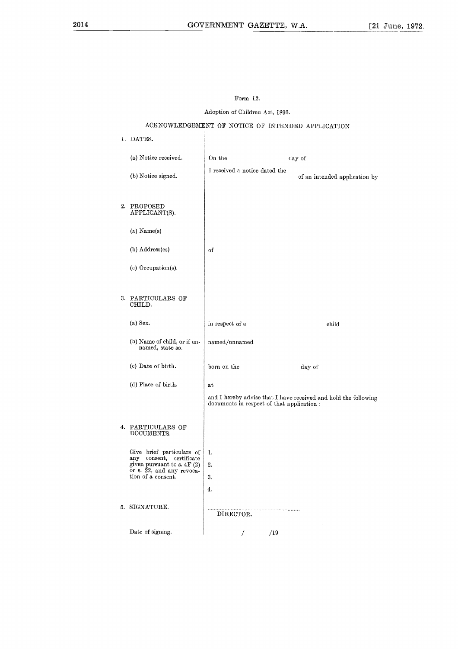### Form 12.

Adoption of Children Act, 1896.

### ACKNOWLEDGEMENT OF NOTICE OF INTENDED APPLICATION

### 1. DATES. (a) Notice received. On the day of I received a notice dated the (b) Notice signed.  $\begin{bmatrix} 1 & 1 & 1 & 0 & 0 \\ 0 & 0 & 0 & 0 \\ 0 & 0 & 0 & 0 \\ 0 & 0 & 0 & 0 \end{bmatrix}$  an intended application by 2. PROPOSED APPLICANT(S). (a) Name(s) in respect of a child (b) Address(es) of (c) Occupation(s). in respect of a<br>named/unnamed<br>born on the day of<br>at 3. PARTICULARS OF CHILD. (a) Sex. (b) Name of child, or if unnamed/unnamed named, state so. (c) Date of birth. (d) Place of birth. at and I hereby advise that I have received and hold the following documents in respect of that application : 4. PARTICULARS OF DOCUMENTS. 1. Give brief particulars of any consent, certificate given pursuant to s. 4F (2) or s. 22, and any revoca-tion of a consent. 2. 3. 4.5. SIGNATURE. DIRECTOR. Date of signing. /19  $\overline{1}$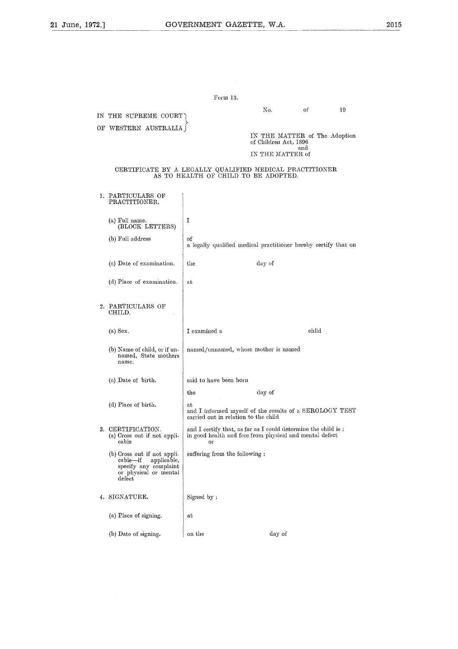| $^{2.1}$ |                                                                                                                                     | GOVERNMENT GAZETTE, W.A.                                                                                                       |                                                        |       |    |
|----------|-------------------------------------------------------------------------------------------------------------------------------------|--------------------------------------------------------------------------------------------------------------------------------|--------------------------------------------------------|-------|----|
|          |                                                                                                                                     |                                                                                                                                |                                                        |       |    |
|          |                                                                                                                                     |                                                                                                                                |                                                        |       |    |
|          |                                                                                                                                     |                                                                                                                                |                                                        |       |    |
|          |                                                                                                                                     | Form 13.                                                                                                                       |                                                        |       |    |
|          |                                                                                                                                     |                                                                                                                                | No.                                                    | οf    | 19 |
|          | IN THE SUPREME COURT<br>OF WESTERN AUSTRALIA                                                                                        |                                                                                                                                |                                                        |       |    |
|          |                                                                                                                                     |                                                                                                                                | IN THE MATTER of The Adoption<br>of Children Act, 1896 |       |    |
|          |                                                                                                                                     |                                                                                                                                | IN THE MATTER of                                       | and   |    |
|          | CERTIFICATE BY A LEGALLY QUALIFIED MEDICAL PRACTITIONER                                                                             | AS TO HEALTH OF CHILD TO BE ADOPTED.                                                                                           |                                                        |       |    |
|          | 1. PARTICULARS OF<br>PRACTITIONER.                                                                                                  |                                                                                                                                |                                                        |       |    |
|          | (a) Full name.<br>(BLOCK LETTERS)                                                                                                   | I                                                                                                                              |                                                        |       |    |
|          | (b) Full address                                                                                                                    | of<br>a legally qualified medical practitioner hereby certify that on                                                          |                                                        |       |    |
|          | (c) Date of examination.                                                                                                            | the                                                                                                                            | day of                                                 |       |    |
|          | (d) Place of examination.                                                                                                           | at                                                                                                                             |                                                        |       |    |
|          | 2. PARTICULARS OF<br>CHILD.                                                                                                         |                                                                                                                                |                                                        |       |    |
|          | $(a)$ Sex.                                                                                                                          | I examined a                                                                                                                   |                                                        | child |    |
|          | (b) Name of child, or if un-<br>named, State mothers<br>name.                                                                       | named/unnamed, whose mother is named                                                                                           |                                                        |       |    |
|          | (c) Date of birth.                                                                                                                  | said to have been born                                                                                                         |                                                        |       |    |
|          |                                                                                                                                     | the                                                                                                                            | day of                                                 |       |    |
|          | (d) Place of birth.                                                                                                                 | at<br>and I informed myself of the results of a SEROLOGY TEST<br>carried out in relation to the child                          |                                                        |       |    |
|          | 3. CERTIFICATION.<br>(a) Cross out if not appli-<br>cable                                                                           | and I certify that, as far as I could determine the child is:<br>in good health and free from physical and mental defect<br>or |                                                        |       |    |
|          | (b) Cross out if not appli-<br>applicable,<br>cable—if<br>specify any complaint<br>or physical or mental<br>$\operatorname{defect}$ | suffering from the following:                                                                                                  |                                                        |       |    |
|          | 4. SIGNATURE.                                                                                                                       | Signed by:                                                                                                                     |                                                        |       |    |
|          | (a) Place of signing.                                                                                                               | at                                                                                                                             |                                                        |       |    |
|          | (b) Date of signing.                                                                                                                | on the                                                                                                                         | day of                                                 |       |    |
|          |                                                                                                                                     |                                                                                                                                |                                                        |       |    |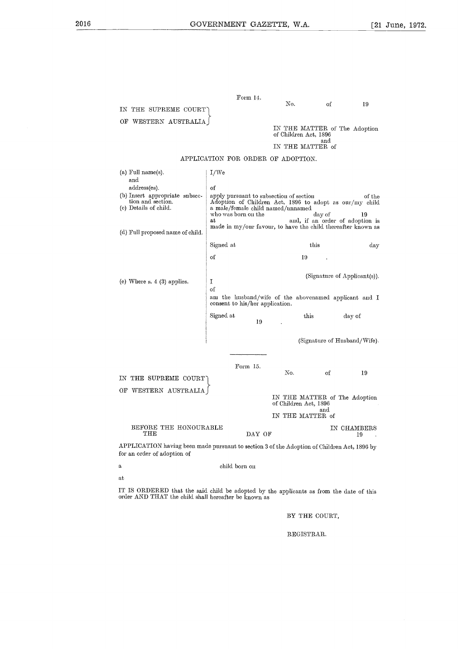|                                               |          | GOVERNMENT GAZETTE, W.A.                                                          |           | [2 |
|-----------------------------------------------|----------|-----------------------------------------------------------------------------------|-----------|----|
| IN THE SUPREME COURT)<br>OF WESTERN AUSTRALIA | Form 14. | No.<br>IN THE MATTER of The Adoption<br>of Children Act, 1896<br>IN THE MATTER of | of<br>and | 19 |

### APPLICATION FOR ORDER OF ADOPTION.

| OF WESTERN AUSTRALIA                                                                                                       |                                                                                                                                         |                                                        |                                           |        |
|----------------------------------------------------------------------------------------------------------------------------|-----------------------------------------------------------------------------------------------------------------------------------------|--------------------------------------------------------|-------------------------------------------|--------|
|                                                                                                                            |                                                                                                                                         | IN THE MATTER of The Adoption<br>of Children Act, 1896 |                                           |        |
|                                                                                                                            |                                                                                                                                         | IN THE MATTER of                                       | and                                       |        |
|                                                                                                                            | APPLICATION FOR ORDER OF ADOPTION.                                                                                                      |                                                        |                                           |        |
| $(a)$ Full name $(s)$ .                                                                                                    | I/We                                                                                                                                    |                                                        |                                           |        |
| and                                                                                                                        |                                                                                                                                         |                                                        |                                           |        |
| address(es).                                                                                                               | of                                                                                                                                      |                                                        |                                           |        |
| (b) Insert appropriate subsec-<br>tion and section.<br>(c) Details of child.                                               | apply pursuant to subsection of section<br>Adoption of Children Act, 1896 to adopt as our/my child<br>a male/female child named/unnamed |                                                        |                                           | of the |
|                                                                                                                            | who was born on the<br>at.                                                                                                              |                                                        | day of<br>and, if an order of adoption is | 19     |
| (d) Full proposed name of child.                                                                                           | made in my/our favour, to have the child thereafter known as                                                                            |                                                        |                                           |        |
|                                                                                                                            |                                                                                                                                         |                                                        |                                           |        |
|                                                                                                                            | Signed at                                                                                                                               |                                                        | this                                      | day    |
|                                                                                                                            | οf                                                                                                                                      | 19                                                     |                                           |        |
|                                                                                                                            |                                                                                                                                         |                                                        | (Signature of Applicant(s)).              |        |
| (e) Where $s. 4$ (3) applies.                                                                                              | I                                                                                                                                       |                                                        |                                           |        |
|                                                                                                                            | οf                                                                                                                                      |                                                        |                                           |        |
|                                                                                                                            | am the husband/wife of the abovenamed applicant and I<br>consent to his/her application.                                                |                                                        |                                           |        |
|                                                                                                                            | Signed at<br>19                                                                                                                         | this                                                   | day of                                    |        |
|                                                                                                                            |                                                                                                                                         |                                                        |                                           |        |
|                                                                                                                            |                                                                                                                                         |                                                        | (Signature of Husband/Wife).              |        |
|                                                                                                                            |                                                                                                                                         |                                                        |                                           |        |
|                                                                                                                            | Form 15.                                                                                                                                | No.                                                    | of                                        | 19     |
| IN THE SUPREME COURT                                                                                                       |                                                                                                                                         |                                                        |                                           |        |
| OF WESTERN AUSTRALIA                                                                                                       |                                                                                                                                         |                                                        |                                           |        |
|                                                                                                                            |                                                                                                                                         | IN THE MATTER of The Adoption<br>of Children Act, 1896 | and                                       |        |
|                                                                                                                            |                                                                                                                                         | IN THE MATTER of                                       |                                           |        |
| BEFORE THE HONOURABLE<br>$_{\rm{THE}}$                                                                                     | DAY OF                                                                                                                                  |                                                        | IN CHAMBERS                               | 19     |
| APPLICATION having been made pursuant to section 3 of the Adoption of Children Act, 1896 by<br>for an order of adoption of |                                                                                                                                         |                                                        |                                           |        |
| a,                                                                                                                         | child born on                                                                                                                           |                                                        |                                           |        |
| at                                                                                                                         |                                                                                                                                         |                                                        |                                           |        |
| IT IS ORDERED that the said child be adopted by the applicants as from the data of this                                    |                                                                                                                                         |                                                        |                                           |        |

| child born on |
|---------------|
|               |

IT IS ORDERED that the said child be adopted by the applicants as from the date of this order AND THAT the child shall hereafter be known as

BY THE COURT,

REGISTRAR.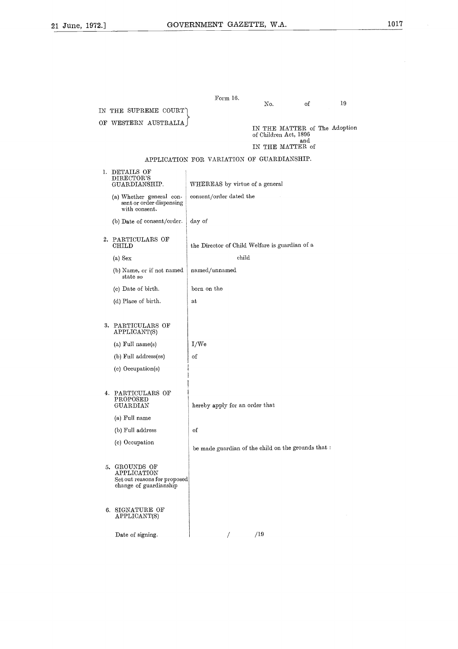| 2.] |                                                                         | GOVERNMENT GAZETTE, W.A.                   |                                                                            |     |    |
|-----|-------------------------------------------------------------------------|--------------------------------------------|----------------------------------------------------------------------------|-----|----|
|     |                                                                         |                                            |                                                                            |     |    |
|     | IN THE SUPREME COURT                                                    | Form 16.                                   | No.                                                                        | of  | 19 |
|     | OF WESTERN AUSTRALIA                                                    |                                            | IN THE MATTER of The Adoption<br>of Children Act, 1896<br>IN THE MATTER of | and |    |
|     |                                                                         | APPLICATION FOR VARIATION OF GUARDIANSHIP. |                                                                            |     |    |
|     | 1. DETAILS OF<br>DIRECTOR'S<br>GUARDIANSHIP.                            | WHEREAS by virtue of a general             |                                                                            |     |    |
|     | (a) Whether general con-<br>sent or order dispensing<br>with consent. . | consent/order dated the                    |                                                                            |     |    |

|    | $\rm{DIRECTOR'S}$<br>GUARDIANSHIP.                                                  | WHEREAS by virtue of a general                      |
|----|-------------------------------------------------------------------------------------|-----------------------------------------------------|
|    | (a) Whether general con-<br>sent or order dispensing<br>with consent.               | consent/order dated the                             |
|    | (b) Date of consent/order.                                                          | day of                                              |
| 2. | PARTICULARS OF<br><b>CHILD</b>                                                      | the Director of Child Welfare is guardian of a      |
|    | $(a)$ Sex                                                                           | child                                               |
|    | (b) Name, or if not named<br>state so                                               | named/unnamed                                       |
|    | (c) Date of birth.                                                                  | born on the                                         |
|    | (d) Place of birth.                                                                 | аt                                                  |
|    |                                                                                     |                                                     |
| 3. | PARTICULARS OF<br>APPLICANT(S)                                                      |                                                     |
|    | (a) Full name(s)                                                                    | I/We                                                |
|    | (b) Full address(es)                                                                | of                                                  |
|    | (c) Occupation(s)                                                                   |                                                     |
|    |                                                                                     |                                                     |
| 4. | PARTICULARS OF<br>$_{\rm PROPOSED}$<br>GUARDIAN                                     | hereby apply for an order that                      |
|    | (a) Full name                                                                       |                                                     |
|    | (b) Full address                                                                    | οf                                                  |
|    | (c) Occupation                                                                      | be made guardian of the child on the grounds that : |
| 5. | GROUNDS OF<br>APPLICATION<br>Set out reasons for proposed<br>change of guardianship |                                                     |
| 6. | SIGNATURE OF<br>APPLICANT(S)                                                        |                                                     |
|    | Date of signing.                                                                    | /19<br>T                                            |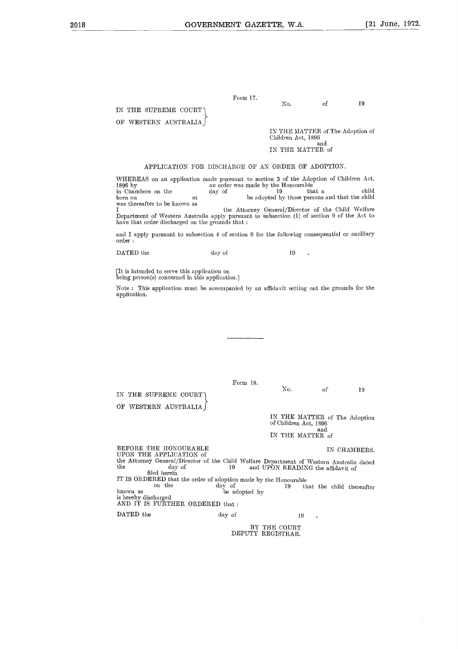|                                               |          | GOVERNMENT GAZETTE, W.A.                                                          |           | $\lceil 21$ |
|-----------------------------------------------|----------|-----------------------------------------------------------------------------------|-----------|-------------|
| IN THE SUPREME COURT`<br>OF WESTERN AUSTRALIA | Form 17. | No.<br>IN THE MATTER of The Adoption of<br>Children Act, 1896<br>IN THE MATTER of | of<br>and | 19          |

### APPLICATION FOR DISCHARGE OF AN ORDER OF ADOPTION.

WHEREAS on an application made pursuant to section 3 of the Adoption of Children Act Form 17.<br>
No. of 19<br>
OF WESTERN AUSTRALIA  $\begin{bmatrix} \text{IN THE MATTER of The Adoption of Children Act, 1896} \ \text{and} \ \text{IN THE MATTER of and 2006} \ \text{and} \ \text{IN THE MATTER of and 306} \ \text{and} \ \text{IN THE MATTER of and 4896} \ \text{and} \ \text{IN THE MATTER of and 4896} \ \text{and} \ \text{IN THE MATTER of and 4896} \ \text{and} \ \text{In the image of the Adoption of Children Act, 4006} \ \text{and} \ \text{and} \ \text{$ was thereafter to be known as the Attorney General/Director of the Child Welfare Department of Western Australia apply pursuant to subsection (1) of section 9 of the Act to have that order discharged on the grounds that :  $\begin{tabular}{l|c|c|c|c|c|c|c|c} \multicolumn{1}{c}{\textbf{APPLICATION FOR DISCHARGE OF AN ORDER WHEREAS on an application made pursuit to section 3 of the 1896 by an order was made by the Hono day of 19 to have a the adopted by the 19 to the adopted by the 19 to the left of the 19 to the left of the 19 to the right of the 19 to the right of the 19 to the right of the 19 to the right of the 19 to the right of the 19 to the right of the 19 to the right of the 19 to the right of the 19 to the right of the 19 to the right of the 19 to the right of the 19 to the right of the 19 to the right of the 19$ 

and I apply pursuant to subsection 4 of section 9 for the following consequential or ancillary order :

[It is intended to serve this application on being person(s) concerned in this application.]

Note : This application must be accompanied by an affidavit setting out the grounds for the application. No. of 19

Form 18.

IN THE SUPREME COURT-) OF WESTERN AUSTRALIA

> IN THE MATTER of The Adoption of Children Act, 1896 and IN THE MATTER of

Form 18.<br>
No. of 19<br>
OF WESTERN AUSTRALIA  $\Big\}$ <br>
DEFORE THE HONOURABLE<br>
BEFORE THE HONOURABLE<br>
UPON THE APPLICATION of<br>
IN CHAMBERS.<br>
UPON THE APPLICATION of<br>
IN CHAMBERS.<br>
UPON THE APPLICATION of<br>
the Attorney General/Di the day of 19 and UPON READING the affidavit of on the day of 19 that the child thereafter known as be adopted by BEFORE THE HONOURABLE<br>
UPON THE APPLICATION of<br>
the Attorney General/Director of the Child Welfare Department of<br>
the day of the Child Welfare Department of<br>
fled largin<br>
IT IS ORDERED that the order of adoption made by th UPON THE APPLICATION of the Attorney General/Director of the Child Welfare Department of Western Australia dated filed herein IT IS ORDERED that the order of adoption made by the Honourable<br>on the day of the Honourable<br>be adopted by is hereby discharged AND IT IS FURTHER ORDERED that :  $\sim$ 

BY THE COURT DEPUTY REGISTRAR.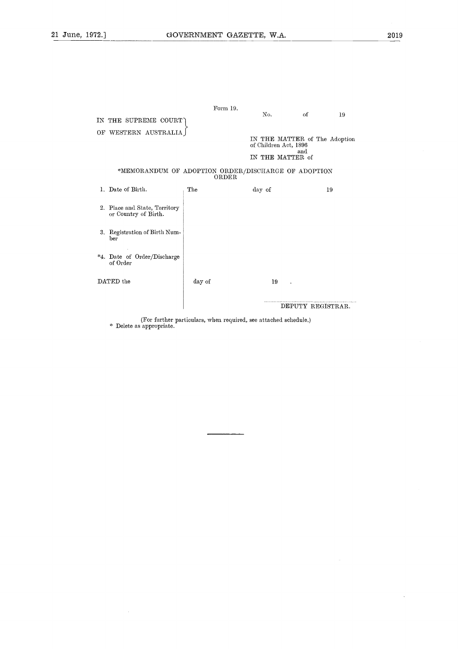| 2.1 |                                                       | GOVERNMENT GAZETTE, W.A. |                                                                                   |                   |    |  |
|-----|-------------------------------------------------------|--------------------------|-----------------------------------------------------------------------------------|-------------------|----|--|
|     |                                                       |                          |                                                                                   |                   |    |  |
|     | IN THE SUPREME COURT                                  | Form 19.                 | No.                                                                               | of                | 19 |  |
|     | OF WESTERN AUSTRALIA                                  |                          | IN THE MATTER of The Adoption<br>of Children Act, 1896<br>and<br>IN THE MATTER of |                   |    |  |
|     | *MEMORANDUM OF ADOPTION ORDER/DISCHARGE OF ADOPTION   | ORDER                    |                                                                                   |                   |    |  |
|     | 1. Date of Birth.                                     | The                      | day of                                                                            |                   | 19 |  |
|     | 2. Place and State, Territory<br>or Country of Birth. |                          |                                                                                   |                   |    |  |
|     | 3. Registration of Birth Num-<br>ber                  |                          |                                                                                   |                   |    |  |
|     | *4. Date of Order/Discharge<br>of Order               |                          |                                                                                   |                   |    |  |
|     | DATED the                                             | day of                   | 19                                                                                |                   |    |  |
|     |                                                       |                          |                                                                                   | DEPUTY REGISTRAR. |    |  |

(For further particulars, when required, see attached schedule.) \* Delete as appropriate.

 $\overline{a}$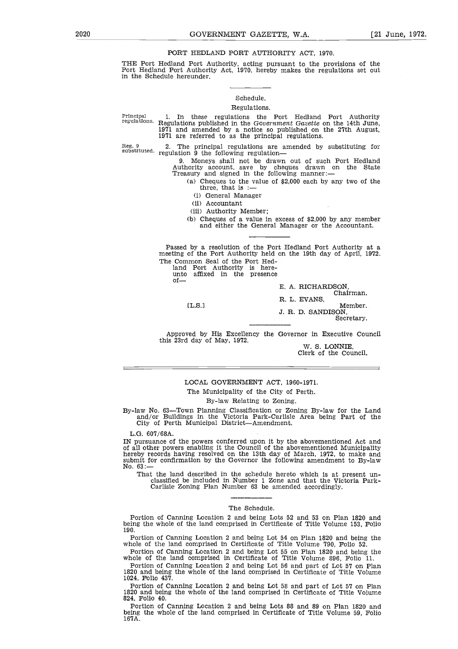### PORT HEDLAND PORT AUTHORITY ACT, 1970.

EXECT 2020<br>
GOVERNMENT GAZETTE, W.A. [21 June, 1972.<br>
PORT HEDLAND PORT AUTHORITY ACT, 1970.<br>
THE Port Hedland Port Authority, acting pursuant to the provisions of the<br>
Port Hedland Port Authority Act, 1970, hereby makes t THE Port Hedland Port Authority, acting pursuant to the provisions of the Port Hedland Port Authority Act, 1970, hereby makes the regulations set out in the Schedule hereunder.

### Schedule.

### Regulations.

Principal regulations. 1. In these regulations the Port Hedland Port Authority Regulations published in the *Government Gazette* on the 14th June,  $1971$  and amended by a notice so published on the  $27th$  August 1971 are referred to as the principal regulations.

Reg. 9 substituted. regulation 9 the following regulation-The principal regulations are amended by substituting for

9. Moneys shall not be drawn out of such Port Hedland Authority account, save by cheques drawn on the State Treasury and signed in the following manner:

(a) Cheques to the value of \$2,000 each by any two of the three, that is :—

(i) General Manager

(ii) Accountant

(iii) Authority Member;

(b) Cheques of a value in excess of \$2,000 by any member and either the General Manager or the Accountant.

Passed by a resolution of the Port Hedland Port Authority at a meeting of the Port Authority held on the 19th day of April, 1972. The Common Seal of the Port Hed-(ii)  $\lambda$ <br>(iii)  $\lambda$ <br>(iii)  $\lambda$ <br>(iii)  $\lambda$ <br>(b)  $\lambda$  and  $\lambda$ <br>first affix<br>(L.S.)

land Port Authority is here-

unto affixed in the presence

 $of_{\text{max}}$ 

E. A. RICHARDSON,

Chairman. R. L. EVANS,

 $[**L.S.**]$ 

Member. J. R. D. SANDISON,

Secretary.

Approved by His Excellency the Governor in Executive Council this 23rd day of May, 1972.

W. S. LONNIE, Clerk of the Council.

### LOCAL GOVERNMENT ACT, 1960-1971.

The Municipality of the City of Perth.

### By-law Relating to Zoning.

By-law No. 63—Town Planning Classification or Zoning By-law for the Land and/or Buildings in the Victoria Park-Carlisle Area being Part of the City of Perth Municipal District—Amendment.

L.G. 607/68A.

IN pursuance of the powers conferred upon it by the abovementioned Act and of all other powers enabling it the Council of the abovementioned Municipality hereby records having resolved on the 13th day of March, 1972, to make and submit for confirmation by the Governor the following amendment to By-law No. 63:

That the land described in the schedule hereto which is at present unclassified be included in Number 1 Zone and that the Victoria Park-Carlisle Zoning Plan Number 63 be amended accordingly.

### The Schedule.

Portion of Canning Location 2 and being Lots 52 and 53 on Plan 1820 and being the whole of the land comprised in Certificate of Title Volume 153, Folio 190.

Portion of Canning Location 2 and being Lot 54 on Plan 1820 and being the whole of the land comprised in Certificate of Title Volume 790, Folio 52.

Portion of Canning Location 2 and being Lot 55 on Plan 1820 and being the whole of the land comprised in Certificate of Title Volume 896, Folio 11.

Portion of Canning Location 2 and being Lot 56 and part of Lot 57 on Plan 1820 and being the whole of the land comprised in Certificate of Title Volume 1024, Folio 437.

Portion of Canning Location 2 and being Lot 58 and part of Lot 57 on Plan 1820 and being the whole of the land comprised in Certificate of Title Volume 824, Folio 40.

Portion of Canning Location 2 and being Lots 88 and 89 on Plan 1820 and being the whole of the land comprised in Certificate of Title Volume 59, Folio 167A.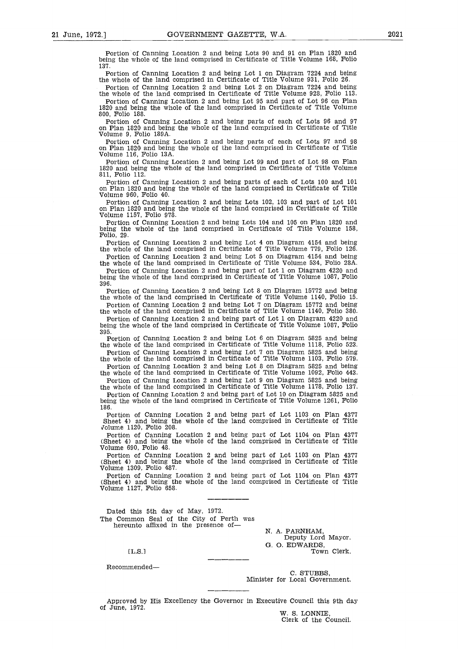21 June, 1972.] GOVERNMENT GAZETTE, W.A. 2021<br>
Portion of Canning Location 2 and being Lots 90 and 91 on Plan 1820 and being the whole of the land comprised in Certificate of Title Volume 168, Folio 137. Portion of Canning Location 2 and being Lots 90 and 91 on Plan 1820 and being the whole of the land comprised in Certificate of Title Volume 168, Folio 137.

Portion of Canning Location 2 and being Lot 1 on Diagram 7224 and being the whole of the land comprised in Certificate of Title Volume 931, Folio 26. Portion of Canning Location 2 and being Lot 2 on Diagram 7224 and being

the whole of the land comprised in Certificate of Title Volume 928, Folio 113. Portion of Canning Location 2 and being Lot 95 and part of Lot 96 on Plan 1820 and being the whole of the land comprised in Certificate of Title Volume 800, Folio 188.

Portion of Canning Location 2 and being parts of each of Lots 96 and 97 on Plan 1820 and being the whole of the land comprised in Certificate of Title Volume 9, Folio 189A.

Portion of Canning Location 2 and being parts of each of Lots 97 and 98 on Plan 1820 and being the whole of the land comprised in Certificate of Title Volume 116, Folio 13A.

Portion of Canning Location 2 and being Lot 99 and part of Lot 98 on Plan 1820 and being the whole of the land comprised in Certificate of Title Volume 811, Folio 112.

Portion of Canning Location 2 and being parts of each of Lots 100 and 101 on Plan 1820 and being the whole of the land comprised in Certificate of Title Volume 960, Folio 40.

Portion of Canning Location 2 and being Lots 102, 103 and part of Lot 101 on Plan 1820 and being the whole of the land comprised in Certificate of Title Volume 1157, Folio 978.

Portion of Canning Location 2 and being Lots 104 and 105 on Plan 1820 and being the whole of the land comprised in Certificate of Title Volume 158, Folio, 29.

Portion of Canning Location 2 and being Lot 4 on Diagram 4154 and being the whole of the land comprised in Certificate of Title Volume 779, Folio 126.

Portion of Canning Location 2 and being Lot 5 on Diagram 4154 and being the whole of the land comprised in Certificate of Title Volume 534, Folio 28A.

Portion of Canning Location 2 and being part of Lot 1 on Diagram 4220 and being the whole of the land comprised in Certificate of Title Volume 1087, Folio 396.

Portion of Canning Location 2 and being Lot 8 on Diagram 15772 and being the whole of the land comprised in Certificate of Title Volume 1140, Folio 15.

Portion of Canning Location 2 and being Lot 7 on Diagram 15772 and being the whole of the land comprised in Certificate of Title Volume 1140, Folio 380.

Portion of Canning Location 2 and being part of Lot 1 on Diagram 4220 and being the whole of the land comprised in Certificate of Title Volume 1087, Folio 395.

Portion of Canning Location 2 and being Lot 6 on Diagram 5825 and being the whole of the land comprised in Certificate of Title Volume 1118, Folio 523. Portion of Canning Location 2 and being Lot 7 on Diagram 5825 and being

the whole of the land comprised in Certificate of Title Volume 1103, Folio 579. Portion of Canning Location 2 and being Lot 8 on Diagram 5825 and being

the whole of the land comprised in Certificate of Title Volume 1092, Folio 443. Portion of Canning Location 2 and being Lot 9 on Diagram 5825 and being

the whole of the land comprised in Certificate of Title Volume 1178, Folio 137. Portion of Canning Location 2 and being part of Lot 10 on Diagram 5825 and being the whole of the land comprised in Certificate of Title Volume 1261, Folio 186.

Portion of Canning Location 2 and being part of Lot 1103 on Plan 4377 Sheet 4) and being the whole of the land comprised in Certificate of Title volume 1120, Folio 208.

Portion of Canning Location 2 and being part of Lot 1104 on Plan 4377 (Sheet 4) and being the whole of the land comprised in Certificate of Title Volume 690, Folio 48.

Portion of Canning Location 2 and being part of Lot 1103 on Plan 4377 (Sheet 4) and being the whole of the land comprised in Certificate of Title Volume 1309, Folio 487.

Portion of Canning Location 2 and being part of Lot 1104 on Plan 4377 (Sheet 4) and being the whole of the land comprised in Certificate of Title Volume 1127, Folio 658.

Dated this 5th day of May, 1972. The Common Seal of the City of Perth was hereunto affixed in the presence of-ClFClFFE<br>e

N. A. FARNHAM, Deputy Lord Mayor. G. O. EDWARDS, Town Clerk.

EL.S.1

Recommended

C. STUBBS, Minister for Local Government.

Approved by His Excellency the Governor in Executive Council this 9th day of June, 1972.

W. S. LONNIE, Clerk of the Council.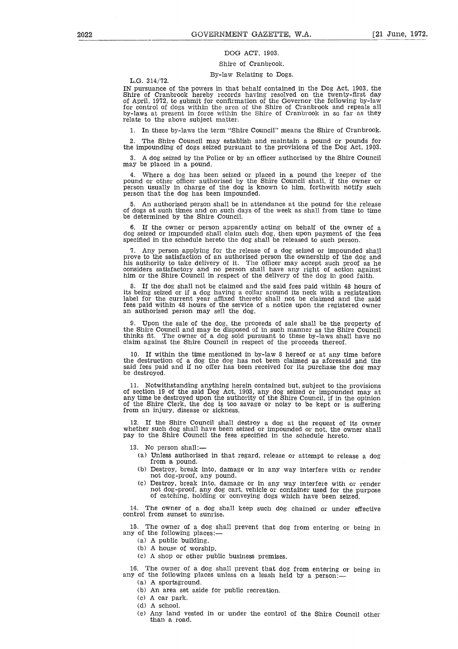### DOG ACT, 1903.

### Shire of Cranbrook. By-law Relating to Dogs.

L.G. 314/72.

IN pursuance of the powers in that behalf contained in the Dog Act, 1903, the Shire of Cranbrook hereby records having resolved on the twenty-first day of April, 1972, to submit for confirmation of the Governor the following by-law for control of clogs within the area of the Shire of Cranbrook and repeals all by-laws at present in force within the Shire of Cranbrook in so far as they relate to the above subject matter.

1. In these by-laws the term "Shire Council" means the Shire of Cranbrook.

2. The Shire Council may establish and maintain a pound or pounds for the impounding of dogs seized pursuant to the provisions of the Dog Act, 1903.

3. A dog seized by the Police or by an officer authorised by the Shire Council may be placed in a pound.

4. Where a dog has been seized or placed in a pound the keeper of the pound or other officer authorised by the Shire Council shall, if the owner or person usually in charge of the clog is known to him, forthwith notify such person that the dog has been impounded.

5. An authorised person shall be in attendance at the pound for the release of dogs at such times and on such days of the week as shall from time to time be determined by the Shire Council.

6. If the owner or person apparently acting on behalf of the owner of a dog seized or impounded shall claim such dog, then upon payment of the fees specified in the schedule hereto the dog shall be released to such person.

Any person applying for the release of a dog seized or impounded shall prove to the satisfaction of an authorised person the ownership of the dog and his authority to take delivery of it. The officer may accept such proof as he considers satisfactory and no person shall have any right of action against him or the Shire Council in respect of the delivery of the dog in good faith.

8. If the dog shall not be claimed and the said fees paid within 48 hours of its being seized or if a dog having a collar around its neck with a registration label for the current year affixed thereto shall not be claimed and the said fees paid within 48 hours of the service of a notice upon the registered owner an authorised person may sell the dog.

9. Upon the sale of the dog, the proceeds of sale shall be the property of the Shire Council and may be disposed of in such manner as the Shire Council thinks fit. The owner of a dog sold pursuant to these by-laws shall have no claim against the Shire Council in respect of the proceeds thereof.

10. If within the time mentioned in by-law 8 hereof or at any time before the destruction of a dog the dog has not been claimed as aforesaid and the said fees paid and if no offer has been received for its purchase the dog may be destroyed.

11. Notwithstanding anything herein contained but, subject to the provisions of section 19 of the said Dog Act, 1903, any dog seized or impounded may at any time be destroyed upon the authority of the Shire Council, if in the opinion of the Shire Clerk, the dog is too savage or noisy to be kept or is suffering from an injury, disease or sickness.

12. If the Shire Council shall destroy a dog at the request of its owner whether such dog shall have been seized or impounded or not, the owner shall pay to the Shire Council the fees specified in the schedule hereto.

13. No person shall:

- (a) Unless authorised in that regard, release or attempt to release a dog from a pound.
- (b) Destroy, break into, damage or in any way interfere with or render not dog-proof, any pound.
- (c) Destroy, break into, damage or in any way interfere with or render not dog-proof, any dog cart, vehicle or container used for the purpose of catching, holding or conveying dogs which have been seized.

14. The owner of a dog shall keep such dog chained or under effective control from sunset to sunrise.

15. The owner of a dog shall prevent that dog from entering or being in any of the following places:

(a) A public building.

- (b) A house of worship.
- (c) A shop or other public business premises.

16. The owner of a dog shall prevent that dog from entering or being in any of the following places unless on a leash held by a person:

(a) A sportsground.

- (b) An area set aside for public recreation.
- (c) A car park.
- (d) A school.
- (e) Any land vested in or under the control of the Shire Council other than a road.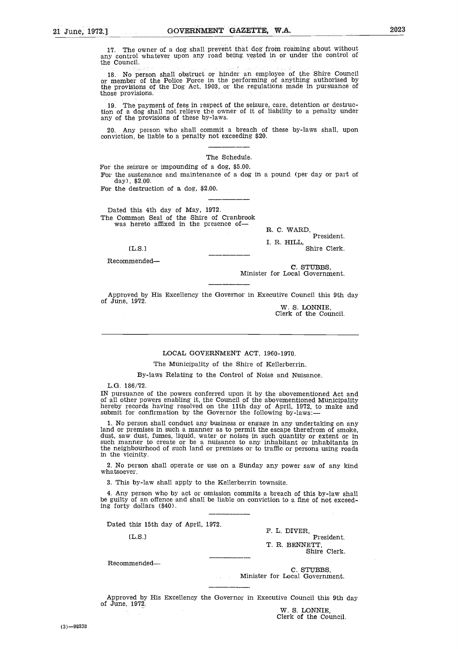$\begin{array}{c} 1 \\ 1 \\ 0 \\ 0 \end{array}$ GOVERNMENT GAZETTE, W.A. 2023<br>a dog shall prevent that dog from roaming about without<br>r upon any road being vested in or under the control of 17. The owner of a dog shall prevent that dog from roaming about without any control whatever upon any road being, vested in or under the control of the Council.

18. No person shall obstruct or hinder an employee of the Shire Council or member of the Police Force in the performing of anything authorised by the provisions of the Dog Act, 1903, or the regulations made in pursuance of those provisions.

19. The payment of fees in respect of the seizure, care, detention or destruc-tion of a dog shall not relieve the owner of it of liability to a penalty under any of the provisions of these by-laws.

20. Any person who shall commit a breach of these by-laws shall, upon conviction, be liable to a penalty not exceeding \$20.

### The Schedule.

For the seizure or impounding of a dog, \$5.00. For the sustenance and maintenance of a dog in a pound (per day or part of

day), \$2.00. For the destruction of a dog, \$2.00.

Dated this 4th day of May, 1972. The Common Seal of the Shire of Cranbrook was hereto affixed in the presence of e<br>10<br>4<br>3<br>6<br>e

R. C. WARD, President.

I. R. HILL, Shire Clerk.

[L.S.]

Recommended

C. STUBBS, Minister for Local Government.

Approved by His Excellency the Governor in Executive Council this 9th day of June, 1972.

W. S. LONNIE Clerk of the Council.

### LOCAL GOVERNMENT ACT, 1960-1970.

The Municipality of the Shire of Kellerberrin.

By-laws Relating to the Control of Noise and Nuisance.

L.G. 186/72.

IN pursuance of the powers conferred upon it by the abovementioned Act and of all other powers enabling it, the Council of the abovementioned Municipality hereby records having resolved on the 11th day of April, 1972, to make and submit for confirmation by the Governor the following by-laws:-

1. No person shall conduct any business or engage in any undertaking on any land or premises in such a manner as to permit the escape therefrom of smoke, dust, saw dust, fumes, liquid, water or noises in such quantity or extent or in such manner to create or be a nuisance to any inhabitant or inhabitants in the neighbourhood of such land or premises or to traffic or persons using roads in the vicinity. dust,<br>and the dust,<br>the distribution<br>er.<br>by-la<br>person<br>dolla:<br>this 1!<br>L.S.]

2. No person shall operate or use on a Sunday any power saw of any kind whatsoever.

3. This by-law shall apply to the Kellerberrin townsite.

4. Any person who by act or omission commits a breach of this by-law shall be guilty of an offence and shall be liable on conviction to a fine of not exceeding forty dollars (\$40).

Dated this 15th day of April, 1972.

 $[L.S.]$ 

F. L. DIVER, President. T. R. BENNETT, Shire Clerk.

Recommended

C. STUBBS, Minister for Local Government.

Approved by His Excellency the Governor in Executive Council this 9th day of June, 1972.

W. S. LONNIE Clerk of the Council.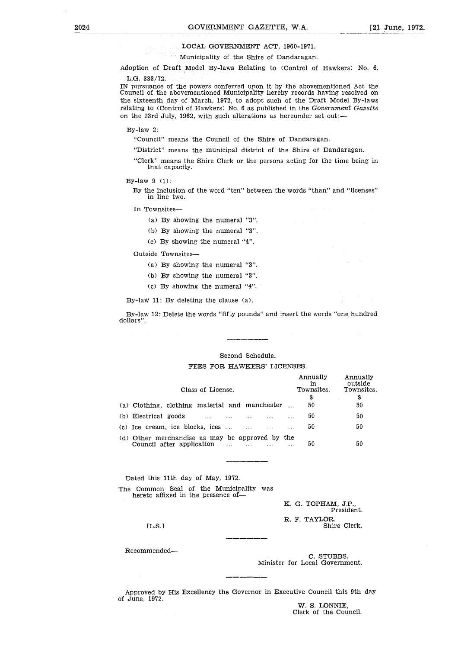### LOCAL GOVERNMENT ACT, 1960-1971.

GOVERNMENT GAZETTE, W.A. [21 June, 1972.]<br>LOCAL GOVERNMENT ACT, 1960-1971.<br>Municipality of the Shire of Dandaragan. Municipality of the Shire of Dandaragan.

Adoption of Draft Model By-laws Relating to (Control of Hawkers) No. 6.

L.G. 333/72.

IN pursuance of the powers conferred upon it by the abovementioned Act the Council of the abovementioned Municipality hereby records having resolved on the sixteenth day of March, 1972, to adopt such of the Draft Model By-laws relating to (Control of Hawkers) No. 6 as published in the *Government Gazette* on the 23rd July, 1962, with such alterations as hereunder set out:—

By-law 2:

"Council" means the Council of the Shire of Dandaragan.

"District" means the municipal district of the Shire of Dandaragan.

"Clerk" means the Shire Clerk or the persons acting for the time being in that capacity.

By the inclusion of the word "ten" between the words "than" and "licenses" in line two.

In Townsites-

(a) By showing the numeral "3".

- (b) By showing the numeral "3".
- (c) By showing the numeral "4".

Outside Townsites-

- (a) By showing the numeral "3".
- (b) By showing the numeral "3".
- (c) By showing the numeral "4".

### Second Schedule.

| By-law 11: By deleting the clause $(a)$ .                                                                          |                          |              |          |          |                                          |                                               |
|--------------------------------------------------------------------------------------------------------------------|--------------------------|--------------|----------|----------|------------------------------------------|-----------------------------------------------|
| By-law 12: Delete the words "fifty pounds" and insert the words "one hundred"<br>dollars".                         |                          |              |          |          |                                          |                                               |
|                                                                                                                    |                          |              |          |          |                                          |                                               |
|                                                                                                                    | Second Schedule.         |              |          |          |                                          |                                               |
| FEES FOR HAWKERS' LICENSES.                                                                                        |                          |              |          |          |                                          |                                               |
| Class of License.<br>(a) Clothing, clothing material and manchester $\ldots$                                       |                          |              |          |          | Annually<br>in<br>Townsites.<br>\$<br>50 | Annually<br>outside<br>Townsites.<br>\$<br>50 |
|                                                                                                                    |                          |              |          |          |                                          |                                               |
| (b) Electrical goods                                                                                               | .                        | $\cdots$     | $\cdots$ | $\cdots$ | 50                                       | 50                                            |
| $(c)$ Ice cream, ice blocks, ices $\dots$ $\dots$                                                                  |                          |              | $\cdots$ | $\cdots$ | 50                                       | 50                                            |
| (d) Other merchandise as may be approved by the<br>Council after application                                       | <b>Contract Contract</b> | $\mathbf{1}$ |          |          | 50                                       | 50                                            |
| Dated this 11th day of May, 1972.<br>The Common Seal of the Municipality was<br>hereto affixed in the presence of- |                          |              |          |          |                                          |                                               |
|                                                                                                                    |                          |              |          |          | K. G. TOPHAM, J.P.,                      | President.                                    |
| TLS.                                                                                                               |                          |              |          |          | R. F. TAYLOR,                            | Shire Clerk.                                  |
|                                                                                                                    |                          |              |          |          |                                          |                                               |

Recommended

C. STUBBS, Minister for Local Government.

Approved by His Excellency the Governor in Executive Council this 9th day of June, 1972.

W. S. LONNIE, Clerk of the Council.

By-law 9 (1):